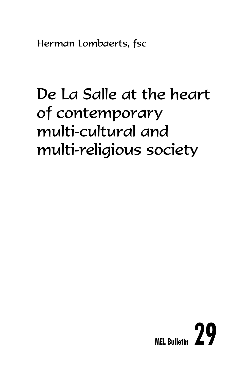Herman Lombaerts, fsc

# De La Salle at the heart of contemporary multi-cultural and multi-religious society

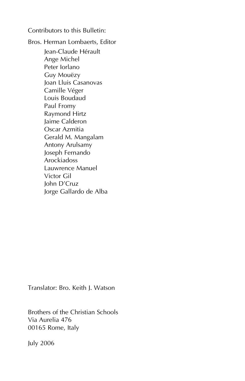Contributors to this Bulletin:

Bros. Herman Lombaerts, Editor Jean-Claude Hérault Ange Michel Peter Iorlano Guy Mouëzy Joan Lluis Casanovas Camille Véger Louis Boudaud Paul Fromy Raymond Hirtz Jaime Calderon Oscar Azmitia Gerald M. Mangalam Antony Arulsamy Joseph Fernando Arockiadoss Lauwrence Manuel Victor Gil John D'Cruz Jorge Gallardo de Alba

Translator: Bro. Keith J. Watson

Brothers of the Christian Schools Via Aurelia 476 00165 Rome, Italy

July 2006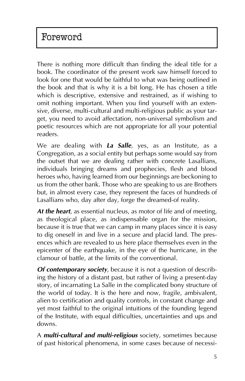There is nothing more difficult than finding the ideal title for a book. The coordinator of the present work saw himself forced to look for one that would be faithful to what was being outlined in the book and that is why it is a bit long. He has chosen a title which is descriptive, extensive and restrained, as if wishing to omit nothing important. When you find yourself with an extensive, diverse, multi-cultural and multi-religious public as your target, you need to avoid affectation, non-universal symbolism and poetic resources which are not appropriate for all your potential readers.

We are dealing with *La Salle*, yes, as an Institute, as a Congregation, as a social entity but perhaps some would say from the outset that we are dealing rather with concrete Lasallians, individuals bringing dreams and prophecies, flesh and blood heroes who, having learned from our beginnings are beckoning to us from the other bank. Those who are speaking to us are Brothers but, in almost every case, they represent the faces of hundreds of Lasallians who, day after day, forge the dreamed-of reality.

*At the heart*, as essential nucleus, as motor of life and of meeting, as theological place, as indispensable organ for the mission, because it is true that we can camp in many places since it is easy to dig oneself in and live in a secure and placid land. The presences which are revealed to us here place themselves even in the epicenter of the earthquake, in the eye of the hurricane, in the clamour of battle, at the limits of the conventional.

*Of contemporary society*, because it is not a question of describing the history of a distant past, but rather of living a present-day story, of incarnating La Salle in the complicated bony structure of the world of today. It is the here and now, fragile, ambivalent, alien to certification and quality controls, in constant change and yet most faithful to the original intuitions of the founding legend of the Institute, with equal difficulties, uncertainties and ups and downs.

A *multi-cultural and multi-religious* society, sometimes because of past historical phenomena, in some cases because of necessi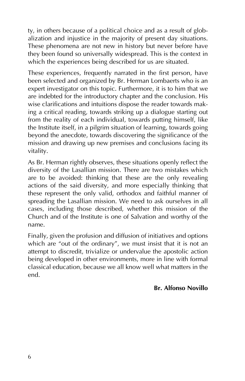ty, in others because of a political choice and as a result of globalization and injustice in the majority of present day situations. These phenomena are not new in history but never before have they been found so universally widespread. This is the context in which the experiences being described for us are situated.

These experiences, frequently narrated in the first person, have been selected and organized by Br. Herman Lombaerts who is an expert investigator on this topic. Furthermore, it is to him that we are indebted for the introductory chapter and the conclusion. His wise clarifications and intuitions dispose the reader towards making a critical reading, towards striking up a dialogue starting out from the reality of each individual, towards putting himself, like the Institute itself, in a pilgrim situation of learning, towards going beyond the anecdote, towards discovering the significance of the mission and drawing up new premises and conclusions facing its vitality.

As Br. Herman rightly observes, these situations openly reflect the diversity of the Lasallian mission. There are two mistakes which are to be avoided: thinking that these are the only revealing actions of the said diversity, and more especially thinking that these represent the only valid, orthodox and faithful manner of spreading the Lasallian mission. We need to ask ourselves in all cases, including those described, whether this mission of the Church and of the Institute is one of Salvation and worthy of the name.

Finally, given the profusion and diffusion of initiatives and options which are "out of the ordinary", we must insist that it is not an attempt to discredit, trivialize or undervalue the apostolic action being developed in other environments, more in line with formal classical education, because we all know well what matters in the end.

## **Br. Alfonso Novillo**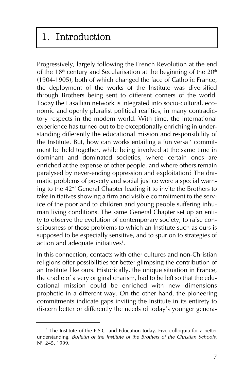## 1. Introduction

Progressively, largely following the French Revolution at the end of the  $18<sup>th</sup>$  century and Secularisation at the beginning of the  $20<sup>th</sup>$ (1904-1905), both of which changed the face of Catholic France, the deployment of the works of the Institute was diversified through Brothers being sent to different corners of the world. Today the Lasallian network is integrated into socio-cultural, economic and openly pluralist political realities, in many contradictory respects in the modern world. With time, the international experience has turned out to be exceptionally enriching in understanding differently the educational mission and responsibility of the Institute. But, how can works entailing a 'universal' commitment be held together, while being involved at the same time in dominant and dominated societies, where certain ones are enriched at the expense of other people, and where others remain paralysed by never-ending oppression and exploitation? The dramatic problems of poverty and social justice were a special warning to the 42nd General Chapter leading it to invite the Brothers to take initiatives showing a firm and visible commitment to the service of the poor and to children and young people suffering inhuman living conditions. The same General Chapter set up an entity to observe the evolution of contemporary society, to raise consciousness of those problems to which an Institute such as ours is supposed to be especially sensitive, and to spur on to strategies of action and adequate initiatives<sup>1</sup>.

In this connection, contacts with other cultures and non-Christian religions offer possibilities for better glimpsing the contribution of an Institute like ours. Historically, the unique situation in France, the cradle of a very original charism, had to be left so that the educational mission could be enriched with new dimensions prophetic in a different way. On the other hand, the pioneering commitments indicate gaps inviting the Institute in its entirety to discern better or differently the needs of today's younger genera-

<sup>&</sup>lt;sup>1</sup> The Institute of the F.S.C. and Education today. Five colloquia for a better understanding. *Bulletin of the Institute of the Brothers of the Christian Schools*, N°. 245, 1999.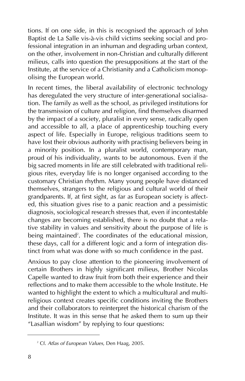tions. If on one side, in this is recognised the approach of John Baptist de La Salle vis-à-vis child victims seeking social and professional integration in an inhuman and degrading urban context, on the other, involvement in non-Christian and culturally different milieus, calls into question the presuppositions at the start of the Institute, at the service of a Christianity and a Catholicism monopolising the European world.

In recent times, the liberal availability of electronic technology has deregulated the very structure of inter-generational socialisation. The family as well as the school, as privileged institutions for the transmission of culture and religion, find themselves disarmed by the impact of a society, pluralist in every sense, radically open and accessible to all, a place of apprenticeship touching every aspect of life. Especially in Europe, religious traditions seem to have lost their obvious authority with practising believers being in a minority position. In a pluralist world, contemporary man, proud of his individuality, wants to be autonomous. Even if the big sacred moments in life are still celebrated with traditional religious rites, everyday life is no longer organised according to the customary Christian rhythm. Many young people have distanced themselves, strangers to the religious and cultural world of their grandparents. If, at first sight, as far as European society is affected, this situation gives rise to a panic reaction and a pessimistic diagnosis, sociological research stresses that, even if incontestable changes are becoming established, there is no doubt that a relative stability in values and sensitivity about the purpose of life is being maintained<sup>2</sup>. The coordinates of the educational mission, these days, call for a different logic and a form of integration distinct from what was done with so much confidence in the past.

Anxious to pay close attention to the pioneering involvement of certain Brothers in highly significant milieus, Brother Nicolas Capelle wanted to draw fruit from both their experience and their reflections and to make them accessible to the whole Institute. He wanted to highlight the extent to which a multicultural and multireligious context creates specific conditions inviting the Brothers and their collaborators to reinterpret the historical charism of the Institute. It was in this sense that he asked them to sum up their "Lasallian wisdom" by replying to four questions:

<sup>2</sup> Cf. *Atlas of European Values*, Den Haag, 2005.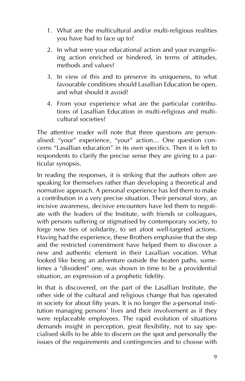- 1. What are the multicultural and/or multi-religious realities you have had to face up to?
- 2. In what were your educational action and your evangelising action enriched or hindered, in terms of attitudes, methods and values?
- 3. In view of this and to preserve its uniqueness, to what favourable conditions should Lasallian Education be open, and what should it avoid?
- 4. From your experience what are the particular contributions of Lasallian Education in multi-religious and multicultural societies?

The attentive reader will note that three questions are personalised: "your" experience, "your" action… One question concerns "Lasallian education" in its own specifics. Then it is left to respondents to clarify the precise sense they are giving to a particular synopsis.

In reading the responses, it is striking that the authors often are speaking for themselves rather than developing a theoretical and normative approach. A personal experience has led them to make a contribution in a very precise situation. Their personal story, an incisive awareness, decisive encounters have led them to negotiate with the leaders of the Institute, with friends or colleagues, with persons suffering or stigmatised by contemporary society, to forge new ties of solidarity, to set afoot well-targeted actions. Having had the experience, these Brothers emphasise that the step and the restricted commitment have helped them to discover a new and authentic element in their Lasallian vocation. What looked like being an adventure outside the beaten paths, sometimes a "dissident" one, was shown in time to be a providential situation, an expression of a prophetic fidelity.

In that is discovered, on the part of the Lasallian Institute, the other side of the cultural and religious change that has operated in society for about fifty years. It is no longer the a-personal institution managing persons' lives and their involvement as if they were replaceable employees. The rapid evolution of situations demands insight in perception, great flexibility, not to say specialised skills to be able to discern on the spot and personally the issues of the requirements and contingencies and to choose with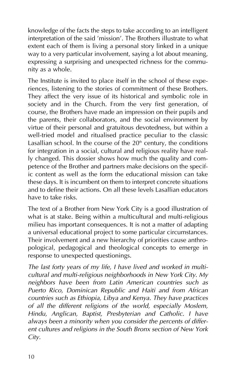knowledge of the facts the steps to take according to an intelligent interpretation of the said 'mission'. The Brothers illustrate to what extent each of them is living a personal story linked in a unique way to a very particular involvement, saying a lot about meaning, expressing a surprising and unexpected richness for the community as a whole.

The Institute is invited to place itself in the school of these experiences, listening to the stories of commitment of these Brothers. They affect the very issue of its historical and symbolic role in society and in the Church. From the very first generation, of course, the Brothers have made an impression on their pupils and the parents, their collaborators, and the social environment by virtue of their personal and gratuitous devotedness, but within a well-tried model and ritualised practice peculiar to the classic Lasallian school. In the course of the  $20<sup>th</sup>$  century, the conditions for integration in a social, cultural and religious reality have really changed. This dossier shows how much the quality and competence of the Brother and partners make decisions on the specific content as well as the form the educational mission can take these days. It is incumbent on them to interpret concrete situations and to define their actions. On all these levels Lasallian educators have to take risks.

The text of a Brother from New York City is a good illustration of what is at stake. Being within a multicultural and multi-religious milieu has important consequences. It is not a matter of adapting a universal educational project to some particular circumstances. Their involvement and a new hierarchy of priorities cause anthropological, pedagogical and theological concepts to emerge in response to unexpected questionings.

*The last forty years of my life, I have lived and worked in multicultural and multi-religious neighborhoods in New York City. My neighbors have been from Latin American countries such as Puerto Rico, Dominican Republic and Haiti and from African countries such as Ethiopia, Libya and Kenya. They have practices of all the different religions of the world, especially Moslem, Hindu, Anglican, Baptist, Presbyterian and Catholic. I have always been a minority when you consider the percents of different cultures and religions in the South Bronx section of New York City.*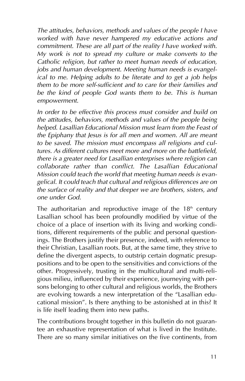*The attitudes, behaviors, methods and values of the people I have worked with have never hampered my educative actions and commitment. These are all part of the reality I have worked with. My work is not to spread my culture or make converts to the Catholic religion, but rather to meet human needs of education, jobs and human development. Meeting human needs is evangelical to me. Helping adults to be literate and to get a job helps them to be more self-sufficient and to care for their families and be the kind of people God wants them to be. This is human empowerment.*

*In order to be effective this process must consider and build on the attitudes, behaviors, methods and values of the people being helped. Lasallian Educational Mission must learn from the Feast of the Epiphany that Jesus is for all men and women. All are meant to be saved. The mission must encompass all religions and cultures. As different cultures meet more and more on the battlefield, there is a greater need for Lasallian enterprises where religion can collaborate rather than conflict. The Lasallian Educational Mission could teach the world that meeting human needs is evangelical. It could teach that cultural and religious differences are on the surface of reality and that deeper we are brothers, sisters, and one under God.*

The authoritarian and reproductive image of the  $18<sup>th</sup>$  century Lasallian school has been profoundly modified by virtue of the choice of a place of insertion with its living and working conditions, different requirements of the public and personal questionings. The Brothers justify their presence, indeed, with reference to their Christian, Lasallian roots. But, at the same time, they strive to define the divergent aspects, to outstrip certain dogmatic presuppositions and to be open to the sensitivities and convictions of the other. Progressively, trusting in the multicultural and multi-religious milieu, influenced by their experience, journeying with persons belonging to other cultural and religious worlds, the Brothers are evolving towards a new interpretation of the "Lasallian educational mission". Is there anything to be astonished at in this? It is life itself leading them into new paths.

The contributions brought together in this bulletin do not guarantee an exhaustive representation of what is lived in the Institute. There are so many similar initiatives on the five continents, from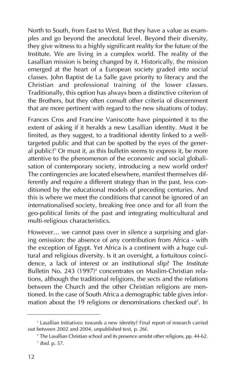North to South, from East to West. But they have a value as examples and go beyond the anecdotal level. Beyond their diversity, they give witness to a highly significant reality for the future of the Institute. We are living in a complex world. The reality of the Lasallian mission is being changed by it. Historically, the mission emerged at the heart of a European society graded into social classes. John Baptist de La Salle gave priority to literacy and the Christian and professional training of the lower classes. Traditionally, this option has always been a distinctive criterion of the Brothers, but they often consult other criteria of discernment that are more pertinent with regard to the new situations of today.

Frances Cros and Francine Vaniscotte have pinpointed it to the extent of asking if it heralds a new Lasallian identity. Must it be limited, as they suggest, to a traditional identity linked to a welltargeted public and that can be spotted by the eyes of the general public?<sup>3</sup> Or must it, as this bulletin seems to express it, be more attentive to the phenomenon of the economic and social globalisation of contemporary society, introducing a new world order? The contingencies are located elsewhere, manifest themselves differently and require a different strategy than in the past, less conditioned by the educational models of preceding centuries. And this is where we meet the conditions that cannot be ignored of an internationalised society, breaking free once and for all from the geo-political limits of the past and integrating multicultural and multi-religious characteristics.

However… we cannot pass over in silence a surprising and glaring omission: the absence of any contribution from Africa - with the exception of Egypt. Yet Africa is a continent with a huge cultural and religious diversity. Is it an oversight, a fortuitous coincidence, a lack of interest or an institutional slip? The *Institute* Bulletin No. 243 (1997)<sup>4</sup> concentrates on Muslim-Christian relations, although the traditional religions, the sects and the relations between the Church and the other Christian religions are mentioned. In the case of South Africa a demographic table gives information about the 19 religions or denominations checked out<sup>5</sup>. In

<sup>&</sup>lt;sup>3</sup> Lasallian Initiatives: towards a new identity? Final report of research carried out between 2002 and 2004, unpublished text, p. 26f.

<sup>4</sup> The Lasallian Christian school and its presence amidst other religions, pp. 44-62. <sup>5</sup> *Ibid*. p. 57.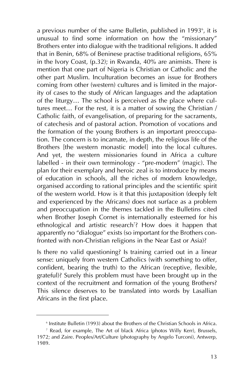a previous number of the same Bulletin, published in 1993<sup>6</sup>, it is unusual to find some information on how the "missionary" Brothers enter into dialogue with the traditional religions. It added that in Benin, 68% of Beninese practise traditional religions, 65% in the Ivory Coast, (p.32); in Rwanda, 40% are animists. There is mention that one part of Nigeria is Christian or Catholic and the other part Muslim. Inculturation becomes an issue for Brothers coming from other (western) cultures and is limited in the majority of cases to the study of African languages and the adaptation of the liturgy… The school is perceived as the place where cultures meet… For the rest, it is a matter of sowing the Christian / Catholic faith, of evangelisation, of preparing for the sacraments, of catechesis and of pastoral action. Promotion of vocations and the formation of the young Brothers is an important preoccupation. The concern is to incarnate, in depth, the religious life of the Brothers [the western monastic model] into the local cultures. And yet, the western missionaries found in Africa a culture labelled - in their own terminology - "pre-modern" (magic). The plan for their exemplary and heroic zeal is to introduce by means of education in schools, all the riches of modern knowledge, organised according to rational principles and the scientific spirit of the western world. How is it that this juxtaposition (deeply felt and experienced by the Africans) does not surface as a problem and preoccupation in the themes tackled in the Bulletins cited when Brother Joseph Cornet is internationally esteemed for his ethnological and artistic research<sup>7</sup>? How does it happen that apparently no "dialogue" exists (so important for the Brothers confronted with non-Christian religions in the Near East or Asia)?

Is there no valid questioning? Is training carried out in a linear sense: uniquely from western Catholics (with something to offer, confident, bearing the truth) to the African (receptive, flexible, grateful)? Surely this problem must have been brought up in the context of the recruitment and formation of the young Brothers? This silence deserves to be translated into words by Lasallian Africans in the first place.

<sup>6</sup> Institute Bulletin (1993) about the Brothers of the Christian Schools in Africa.

<sup>7</sup> Read, for example, The Art of black Africa (photos Willy Kerr), Brussels, 1972; and Zaire. Peoples/Art/Culture (photography by Angelo Turconi), Antwerp, 1989.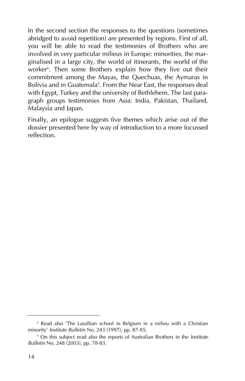In the second section the responses to the questions (sometimes abridged to avoid repetition) are presented by regions. First of all, you will be able to read the testimonies of Brothers who are involved in very particular milieus in Europe: minorities, the marginalised in a large city, the world of itinerants, the world of the worker8 . Then some Brothers explain how they live out their commitment among the Mayas, the Quechuas, the Aymaras in Bolivia and in Guatemala<sup>9</sup>. From the Near East, the responses deal with Egypt, Turkey and the university of Bethlehem. The last paragraph groups testimonies from Asia: India, Pakistan, Thailand, Malaysia and Japan.

Finally, an epilogue suggests five themes which arise out of the dossier presented here by way of introduction to a more focussed reflection.

<sup>&</sup>lt;sup>8</sup> Read also 'The Lasallian school in Belgium in a milieu with a Christian minority' *Institute Bulletin* No. 243 (1997), pp. 87-95.

<sup>9</sup> On this subject read also the reports of Australian Brothers in the *Institute Bulletin* No. 248 (2003), pp. 78-83.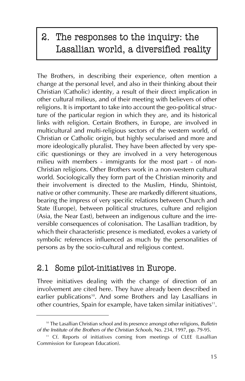# 2. The responses to the inquiry: the Lasallian world, a diversified reality

The Brothers, in describing their experience, often mention a change at the personal level, and also in their thinking about their Christian (Catholic) identity, a result of their direct implication in other cultural milieus, and of their meeting with believers of other religions. It is important to take into account the geo-political structure of the particular region in which they are, and its historical links with religion. Certain Brothers, in Europe, are involved in multicultural and multi-religious sectors of the western world, of Christian or Catholic origin, but highly secularised and more and more ideologically pluralist. They have been affected by very specific questionings or they are involved in a very heterogenous milieu with members - immigrants for the most part - of non-Christian religions. Other Brothers work in a non-western cultural world. Sociologically they form part of the Christian minority and their involvement is directed to the Muslim, Hindu, Shintoist, native or other community. These are markedly different situations, bearing the impress of very specific relations between Church and State (Europe), between political structures, culture and religion (Asia, the Near East), between an indigenous culture and the irreversible consequences of colonisation. The Lasallian tradition, by which their characteristic presence is mediated, evokes a variety of symbolic references influenced as much by the personalities of persons as by the socio-cultural and religious context.

## 2.1 Some pilot-initiatives in Europe.

Three initiatives dealing with the change of direction of an involvement are cited here. They have already been described in earlier publications<sup>10</sup>. And some Brothers and lay Lasallians in other countries, Spain for example, have taken similar initiatives<sup>11</sup>.

<sup>10</sup> The Lasallian Christian school and its presence amongst other religions, *Bulletin of the Institute of the Brothers of the Christian Schools*, No. 234, 1997, pp. 79-95.

<sup>&</sup>lt;sup>11</sup> Cf. Reports of initiatives coming from meetings of CLEE (Lasallian Commission for European Education).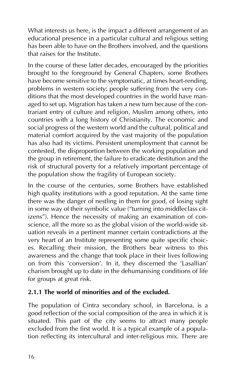What interests us here, is the impact a different arrangement of an educational presence in a particular cultural and religious setting has been able to have on the Brothers involved, and the questions that raises for the Institute.

In the course of these latter decades, encouraged by the priorities brought to the foreground by General Chapters, some Brothers have become sensitive to the symptomatic, at times heart-rending, problems in western society: people suffering from the very conditions that the most developed countries in the world have managed to set up. Migration has taken a new turn because of the contrariant entry of culture and religion, Muslim among others, into countries with a long history of Christianity. The economic and social progress of the western world and the cultural, political and material comfort acquired by the vast majority of the population has also had its victims. Persistent unemployment that cannot be contested, the disproportion between the working population and the group in retirement, the failure to eradicate destitution and the risk of structural poverty for a relatively important percentage of the population show the fragility of European society.

In the course of the centuries, some Brothers have established high quality institutions with a good reputation. At the same time there was the danger of nestling in them for good, of losing sight in some way of their symbolic value ("turning into middleclass citizens"). Hence the necessity of making an examination of conscience, all the more so as the global vision of the world-wide situation reveals in a pertinent manner certain contradictions at the very heart of an Institute representing some quite specific choices. Recalling their mission, the Brothers bear witness to this awareness and the change that took place in their lives following on from this 'conversion'. In it, they discerned the 'Lasallian' charism brought up to date in the dehumanising conditions of life for groups at great risk.

## **2.1.1 The world of minorities and of the excluded.**

The population of Cintra secondary school, in Barcelona, is a good reflection of the social composition of the area in which it is situated. This part of the city seems to attract many people excluded from the first world. It is a typical example of a population reflecting its intercultural and inter-religious mix. There are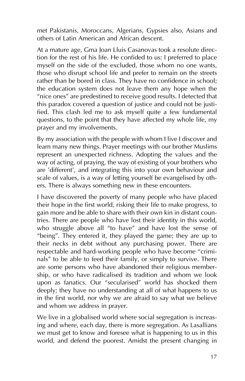met Pakistanis, Moroccans, Algerians, Gypsies also, Asians and others of Latin American and African descent.

At a mature age, Gma Joan Lluis Casanovas took a resolute direction for the rest of his life. He confided to us: I preferred to place myself on the side of the excluded, those whom no one wants, those who disrupt school life and prefer to remain on the streets rather than be bored in class. They have no confidence in school; the education system does not leave them any hope when the "nice ones" are predestined to receive good results. I detected that this paradox covered a question of justice and could not be justified. This clash led me to ask myself quite a few fundamental questions, to the point that they have affected my whole life, my prayer and my involvements.

By my association with the people with whom I live I discover and learn many new things. Prayer meetings with our brother Muslims represent an unexpected richness. Adopting the values and the way of acting, of praying, the way of existing of your brothers who are 'different', and integrating this into your own behaviour and scale of values, is a way of letting yourself be evangelised by others. There is always something new in these encounters.

I have discovered the poverty of many people who have placed their hope in the first world, risking their life to make progress, to gain more and be able to share with their own kin in distant countries. There are people who have lost their identity in this world, who struggle above all "to have" and have lost the sense of "being". They entered it, they played the game; they are up to their necks in debt without any purchasing power. There are respectable and hard-working people who have become "criminals" to be able to feed their family, or simply to survive. There are some persons who have abandoned their religious membership, or who have radicalised its tradition and whom we look upon as fanatics. Our "secularised" world has shocked them deeply; they have no understanding at all of what happens to us in the first world, nor why we are afraid to say what we believe and whom we address in prayer.

We live in a globalised world where social segregation is increasing and where, each day, there is more segregation. As Lasallians we must get to know and foresee what is happening to us in this world, and defend the poorest. Amidst the present changing in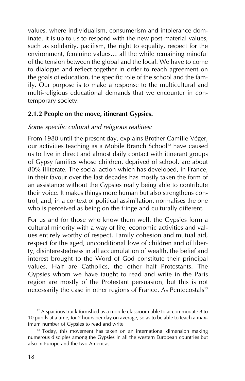values, where individualism, consumerism and intolerance dominate, it is up to us to respond with the new post-material values, such as solidarity, pacifism, the right to equality, respect for the environment, feminine values... all the while remaining mindful of the tension between the global and the local. We have to come to dialogue and reflect together in order to reach agreement on the goals of education, the specific role of the school and the family. Our purpose is to make a response to the multicultural and multi-religious educational demands that we encounter in contemporary society.

## **2.1.2 People on the move, itinerant Gypsies.**

## *Some specific cultural and religious realities:*

From 1980 until the present day, explains Brother Camille Véger, our activities teaching as a Mobile Branch School<sup>12</sup> have caused us to live in direct and almost daily contact with itinerant groups of Gypsy families whose children, deprived of school, are about 80% illiterate. The social action which has developed, in France, in their favour over the last decades has mostly taken the form of an assistance without the Gypsies really being able to contribute their voice. It makes things more human but also strengthens control, and, in a context of political assimilation, normalises the one who is perceived as being on the fringe and culturally different.

For us and for those who know them well, the Gypsies form a cultural minority with a way of life, economic activities and values entirely worthy of respect. Family cohesion and mutual aid, respect for the aged, unconditional love of children and of liberty, disinterestedness in all accumulation of wealth, the belief and interest brought to the Word of God constitute their principal values. Half are Catholics, the other half Protestants. The Gypsies whom we have taught to read and write in the Paris region are mostly of the Protestant persuasion, but this is not necessarily the case in other regions of France. As Pentecostals<sup>13</sup>

 $12$  A spacious truck furnished as a mobile classroom able to accommodate 8 to 10 pupils at a time, for 2 hours per day on average, so as to be able to teach a maximum number of Gypsies to read and write

<sup>&</sup>lt;sup>13</sup> Today, this movement has taken on an international dimension making numerous disciples among the Gypsies in all the western European countries but also in Europe and the two Americas.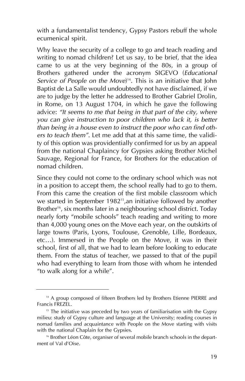with a fundamentalist tendency, Gypsy Pastors rebuff the whole ecumenical spirit.

Why leave the security of a college to go and teach reading and writing to nomad children? Let us say, to be brief, that the idea came to us at the very beginning of the 80s, in a group of Brothers gathered under the acronym SIGEVO (*Educational Service of People on the Move*) 14. This is an initiative that John Baptist de La Salle would undoubtedly not have disclaimed, if we are to judge by the letter he addressed to Brother Gabriel Drolin, in Rome, on 13 August 1704, in which he gave the following advice: *"It seems to me that being in that part of the city, where you can give instruction to poor children who lack it, is better than being in a house even to instruct the poor who can find others to teach them"*. Let me add that at this same time, the validity of this option was providentially confirmed for us by an appeal from the national Chaplaincy for Gypsies asking Brother Michel Sauvage, Regional for France, for Brothers for the education of nomad children.

Since they could not come to the ordinary school which was not in a position to accept them, the school really had to go to them. From this came the creation of the first mobile classroom which we started in September 1982<sup>15</sup>, an initiative followed by another Brother<sup>16</sup>, six months later in a neighbouring school district. Today nearly forty "mobile schools" teach reading and writing to more than 4,000 young ones on the Move each year, on the outskirts of large towns (Paris, Lyons, Toulouse, Grenoble, Lille, Bordeaux, etc…). Immersed in the People on the Move, it was in their school, first of all, that we had to learn before looking to educate them. From the status of teacher, we passed to that of the pupil who had everything to learn from those with whom he intended "to walk along for a while".

<sup>&</sup>lt;sup>14</sup> A group composed of fifteen Brothers led by Brothers Etienne PIERRE and Francis FREZEL.

<sup>&</sup>lt;sup>15</sup> The initiative was preceded by two years of familiarisation with the Gypsy milieu: study of Gypsy culture and language at the University; reading courses in nomad families and acquaintance with People on the Move starting with visits with the national Chaplain for the Gypsies.

<sup>&</sup>lt;sup>16</sup> Brother Léon Côte, organiser of several mobile branch schools in the department of Val d'Oise.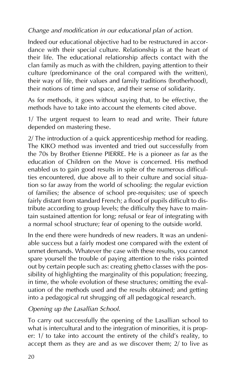## *Change and modification in our educational plan of action.*

Indeed our educational objective had to be restructured in accordance with their special culture. Relationship is at the heart of their life. The educational relationship affects contact with the clan family as much as with the children, paying attention to their culture (predominance of the oral compared with the written), their way of life, their values and family traditions (brotherhood), their notions of time and space, and their sense of solidarity.

As for methods, it goes without saying that, to be effective, the methods have to take into account the elements cited above.

1/ The urgent request to learn to read and write. Their future depended on mastering these.

2/ The introduction of a quick apprenticeship method for reading. The KIKO method was invented and tried out successfully from the 70s by Brother Etienne PIERRE. He is a pioneer as far as the education of Children on the Move is concerned. His method enabled us to gain good results in spite of the numerous difficulties encountered, due above all to their culture and social situation so far away from the world of schooling: the regular eviction of families; the absence of school pre-requisites; use of speech fairly distant from standard French; a flood of pupils difficult to distribute according to group levels; the difficulty they have to maintain sustained attention for long; refusal or fear of integrating with a normal school structure; fear of opening to the outside world.

In the end there were hundreds of new readers. It was an undeniable success but a fairly modest one compared with the extent of unmet demands. Whatever the case with these results, you cannot spare yourself the trouble of paying attention to the risks pointed out by certain people such as: creating ghetto classes with the possibility of highlighting the marginality of this population; freezing, in time, the whole evolution of these structures; omitting the evaluation of the methods used and the results obtained; and getting into a pedagogical rut shrugging off all pedagogical research.

## *Opening up the Lasallian School.*

To carry out successfully the opening of the Lasallian school to what is intercultural and to the integration of minorities, it is proper: 1/ to take into account the entirety of the child's reality, to accept them as they are and as we discover them; 2/ to live as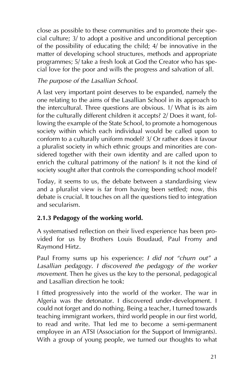close as possible to these communities and to promote their special culture; 3/ to adopt a positive and unconditional perception of the possibility of educating the child; 4/ be innovative in the matter of developing school structures, methods and appropriate programmes; 5/ take a fresh look at God the Creator who has special love for the poor and wills the progress and salvation of all.

## *The purpose of the Lasallian School.*

A last very important point deserves to be expanded, namely the one relating to the aims of the Lasallian School in its approach to the intercultural. Three questions are obvious. 1/ What is its aim for the culturally different children it accepts? 2/ Does it want, following the example of the State School, to promote a homogenous society within which each individual would be called upon to conform to a culturally uniform model? 3/ Or rather does it favour a pluralist society in which ethnic groups and minorities are considered together with their own identity and are called upon to enrich the cultural patrimony of the nation? Is it not the kind of society sought after that controls the corresponding school model?

Today, it seems to us, the debate between a standardising view and a pluralist view is far from having been settled; now, this debate is crucial. It touches on all the questions tied to integration and secularism.

## **2.1.3 Pedagogy of the working world.**

A systematised reflection on their lived experience has been provided for us by Brothers Louis Boudaud, Paul Fromy and Raymond Hirtz.

Paul Fromy sums up his experience: *I did not "churn out" a Lasallian pedagogy. I discovered the pedagogy of the worker movement*. Then he gives us the key to the personal, pedagogical and Lasallian direction he took:

I fitted progressively into the world of the worker. The war in Algeria was the detonator. I discovered under-development. I could not forget and do nothing. Being a teacher, I turned towards teaching immigrant workers, third world people in our first world, to read and write. That led me to become a semi-permanent employee in an ATSI (Association for the Support of Immigrants). With a group of young people, we turned our thoughts to what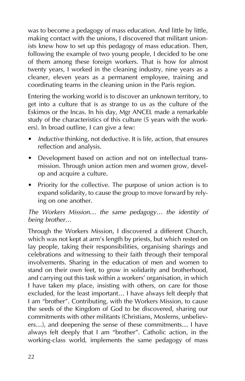was to become a pedagogy of mass education. And little by little, making contact with the unions, I discovered that militant unionists knew how to set up this pedagogy of mass education. Then, following the example of two young people, I decided to be one of them among these foreign workers. That is how for almost twenty years, I worked in the cleaning industry, nine years as a cleaner, eleven years as a permanent employee, training and coordinating teams in the cleaning union in the Paris region.

Entering the working world is to discover an unknown territory, to get into a culture that is as strange to us as the culture of the Eskimos or the Incas. In his day, Mgr ANCEL made a remarkable study of the characteristics of this culture (5 years with the workers). In broad outline, I can give a few:

- *Inductive* thinking, not deductive. It is life, action, that ensures reflection and analysis.
- Development based on action and not on intellectual transmission. Through union action men and women grow, develop and acquire a culture.
- Priority for the collective. The purpose of union action is to expand solidarity, to cause the group to move forward by relying on one another.

## *The Workers Mission… the same pedagogy… the identity of being brother…*

Through the Workers Mission, I discovered a different Church, which was not kept at arm's length by priests, but which rested on lay people, taking their responsibilities, organising sharings and celebrations and witnessing to their faith through their temporal involvements. Sharing in the education of men and women to stand on their own feet, to grow in solidarity and brotherhood, and carrying out this task within a workers' organisation, in which I have taken my place, insisting with others, on care for those excluded, for the least important… I have always felt deeply that I am "brother". Contributing, with the Workers Mission, to cause the seeds of the Kingdom of God to be discovered, sharing our commitments with other militants (Christians, Moslems, unbelievers…), and deepening the sense of these commitments… I have always felt deeply that I am "brother". Catholic action, in the working-class world, implements the same pedagogy of mass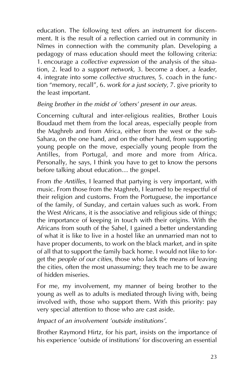education. The following text offers an instrument for discernment. It is the result of a reflection carried out in community in Nîmes in connection with the community plan. Developing a pedagogy of mass education should meet the following criteria: 1. encourage a *collective expression* of the analysis of the situation, 2. lead to a *support network*, 3. become a doer, a *leader*, 4. integrate into some *collective structures*, 5. coach in the function "memory, recall", 6. *work for a just society*, 7. give priority to the least important.

## *Being brother in the midst of 'others' present in our areas.*

Concerning cultural and inter-religious realities, Brother Louis Boudaud met them from the local areas, especially people from the Maghreb and from Africa, either from the west or the sub-Sahara, on the one hand, and on the other hand, from supporting young people on the move, especially young people from the Antilles, from Portugal, and more and more from Africa. Personally, he says, I think you have to get to know the persons before talking about education… the gospel.

From *the Antilles*, I learned that partying is very important, with music. From those from the Maghreb, I learned to be respectful of their religion and customs. From the Portuguese, the importance of the family, of Sunday, and certain values such as work. From the West Africans, it is the associative and religious side of things; the importance of keeping in touch with their origins. With the Africans from south of the Sahel, I gained a better understanding of what it is like to live in a hostel like an unmarried man not to have proper documents, to work on the black market, and in spite of all that to support the family back home. I would not like to forget the *people of our cities*, those who lack the means of leaving the cities, often the most unassuming; they teach me to be aware of hidden miseries.

For me, my involvement, my manner of being brother to the young as well as to adults is mediated through living with, being involved with, those who support them. With this priority: pay very special attention to those who are cast aside.

## *Impact of an involvement 'outside institutions'.*

Brother Raymond Hirtz, for his part, insists on the importance of his experience 'outside of institutions' for discovering an essential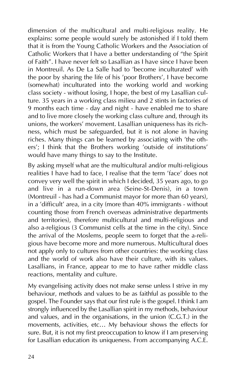dimension of the multicultural and multi-religious reality. He explains: some people would surely be astonished if I told them that it is from the Young Catholic Workers and the Association of Catholic Workers that I have a better understanding of "the Spirit of Faith". I have never felt so Lasallian as I have since I have been in Montreuil. As De La Salle had to 'become inculturated' with the poor by sharing the life of his 'poor Brothers', I have become (somewhat) inculturated into the working world and working class society - without losing, I hope, the best of my Lasallian culture. 35 years in a working class milieu and 2 stints in factories of 9 months each time - day and night - have enabled me to share and to live more closely the working class culture and, through its unions, the workers' movement. Lasallian uniqueness has its richness, which must be safeguarded, but it is not alone in having riches. Many things can be learned by associating with 'the others'; I think that the Brothers working 'outside of institutions' would have many things to say to the Institute.

By asking myself what are the multicultural and/or multi-religious realities I have had to face, I realise that the term 'face' does not convey very well the spirit in which I decided, 35 years ago, to go and live in a run-down area (Seine-St-Denis), in a town (Montreuil - has had a Communist mayor for more than 60 years), in a 'difficult' area, in a city (more than 40% immigrants - without counting those from French overseas administrative departments and territories), therefore multicultural and multi-religious and also a-religious (3 Communist cells at the time in the city). Since the arrival of the Moslems, people seem to forget that the a-religious have become more and more numerous. Multicultural does not apply only to cultures from other countries: the working class and the world of work also have their culture, with its values. Lasallians, in France, appear to me to have rather middle class reactions, mentality and culture.

My evangelising activity does not make sense unless I strive in my behaviour, methods and values to be as faithful as possible to the gospel. The Founder says that our first rule is the gospel. I think I am strongly influenced by the Lasallian spirit in my methods, behaviour and values, and in the organisations, in the union (C.G.T.) in the movements, activities, etc… My behaviour shows the effects for sure. But, it is not my first preoccupation to know if I am preserving for Lasallian education its uniqueness. From accompanying A.C.E.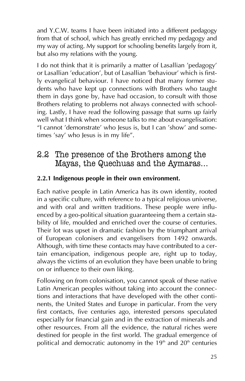and Y.C.W. teams I have been initiated into a different pedagogy from that of school, which has greatly enriched my pedagogy and my way of acting. My support for schooling benefits largely from it, but also my relations with the young.

I do not think that it is primarily a matter of Lasallian 'pedagogy' or Lasallian 'education', but of Lasallian 'behaviour' which is firstly evangelical behaviour. I have noticed that many former students who have kept up connections with Brothers who taught them in days gone by, have had occasion, to consult with those Brothers relating to problems not always connected with schooling. Lastly, I have read the following passage that sums up fairly well what I think when someone talks to me about evangelisation: "I cannot 'demonstrate' who Jesus is, but I can 'show' and sometimes 'say' who Jesus is in my life".

## 2.2 The presence of the Brothers among the Mayas, the Quechuas and the Aymaras…

## **2.2.1 Indigenous people in their own environment.**

Each native people in Latin America has its own identity, rooted in a specific culture, with reference to a typical religious universe, and with oral and written traditions. These people were influenced by a geo-political situation guaranteeing them a certain stability of life, moulded and enriched over the course of centuries. Their lot was upset in dramatic fashion by the triumphant arrival of European colonisers and evangelisers from 1492 onwards. Although, with time these contacts may have contributed to a certain emancipation, indigenous people are, right up to today, always the victims of an evolution they have been unable to bring on or influence to their own liking.

Following on from colonisation, you cannot speak of these native Latin American peoples without taking into account the connections and interactions that have developed with the other continents, the United States and Europe in particular. From the very first contacts, five centuries ago, interested persons speculated especially for financial gain and in the extraction of minerals and other resources. From all the evidence, the natural riches were destined for people in the first world. The gradual emergence of political and democratic autonomy in the  $19<sup>th</sup>$  and  $20<sup>th</sup>$  centuries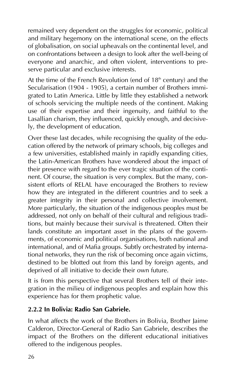remained very dependent on the struggles for economic, political and military hegemony on the international scene, on the effects of globalisation, on social upheavals on the continental level, and on confrontations between a design to look after the well-being of everyone and anarchic, and often violent, interventions to preserve particular and exclusive interests.

At the time of the French Revolution (end of  $18<sup>th</sup>$  century) and the Secularisation (1904 - 1905), a certain number of Brothers immigrated to Latin America. Little by little they established a network of schools servicing the multiple needs of the continent. Making use of their expertise and their ingenuity, and faithful to the Lasallian charism, they influenced, quickly enough, and decisively, the development of education.

Over these last decades, while recognising the quality of the education offered by the network of primary schools, big colleges and a few universities, established mainly in rapidly expanding cities, the Latin-American Brothers have wondered about the impact of their presence with regard to the ever tragic situation of the continent. Of course, the situation is very complex. But the many, consistent efforts of RELAL have encouraged the Brothers to review how they are integrated in the different countries and to seek a greater integrity in their personal and collective involvement. More particularly, the situation of the indigenous peoples must be addressed, not only on behalf of their cultural and religious traditions, but mainly because their survival is threatened. Often their lands constitute an important asset in the plans of the governments, of economic and political organisations, both national and international, and of Mafia groups. Subtly orchestrated by international networks, they run the risk of becoming once again victims, destined to be blotted out from this land by foreign agents, and deprived of all initiative to decide their own future.

It is from this perspective that several Brothers tell of their integration in the milieu of indigenous peoples and explain how this experience has for them prophetic value.

## **2.2.2 In Bolivia: Radio San Gabriele.**

In what affects the work of the Brothers in Bolivia, Brother Jaime Calderon, Director-General of Radio San Gabriele, describes the impact of the Brothers on the different educational initiatives offered to the indigenous peoples.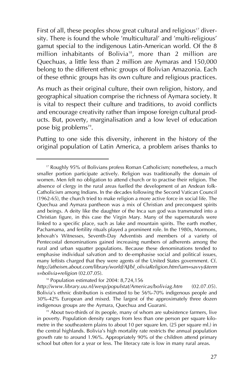First of all, these peoples show great cultural and religious<sup>17</sup> diversity. There is found the whole 'multicultural' and 'multi-religious' gamut special to the indigenous Latin-American world. Of the 8 million inhabitants of Bolivia<sup>18</sup>, more than 2 million are Quechuas, a little less than 2 million are Aymaras and 150,000 belong to the different ethnic groups of Bolivian Amazonia. Each of these ethnic groups has its own culture and religious practices.

As much as their original culture, their own religion, history, and geographical situation comprise the richness of Aymara society. It is vital to respect their culture and traditions, to avoid conflicts and encourage creativity rather than impose foreign cultural products. But, poverty, marginalisation and a low level of education pose big problems<sup>19</sup>.

Putting to one side this diversity, inherent in the history of the original population of Latin America, a problem arises thanks to

<sup>18</sup> Population estimated for 2004: 8,724,156

*http://www.library.uu.nl/wesp/populstat/Americas/boliviag.htm* (02.07.05). Bolivia's ethnic distribution is estimated to be 56%-70% indigenous people and 30%-42% European and mixed. The largest of the approximately three dozen indigenous groups are the Aymara, Quechua and Guarani.

<sup>19</sup> About two-thirds of its people, many of whom are subsistence farmers, live in poverty. Population density ranges from less than one person per square kilometre in the southeastern plains to about 10 per square km. (25 per square ml.) in the central highlands. Bolivia's high mortality rate restricts the annual population growth rate to around 1.96%. Appropriately 90% of the children attend primary school but often for a year or less. The literacy rate is low in many rural areas.

<sup>17</sup> Roughly 95% of Bolivians profess Roman Catholicism; nonetheless, a much smaller portion participate actively. Religion was traditionally the domain of women. Men felt no obligation to attend church or to practise their religion. The absence of clergy in the rural areas fuelled the development of an Andean folk-Catholicism among Indians. In the decades following the Second Vatican Council (1962-65), the church tried to make religion a more active force in social life. The Quechua and Aymara pantheon was a mix of Christian and preconquest spirits and beings. A deity like the daughter of the Inca sun god was transmuted into a Christian figure, in this case the Virgin Mary. Many of the supernaturals were linked to a specific place, such as lake and mountain spirits. The earth mother, Pachamama, and fertility rituals played a prominent role. In the 1980s, Mormons, Jehovah's Witnesses, Seventh-Day Adventists and members of a variety of Pentecostal denominations gained increasing numbers of adherents among the rural and urban squatter populations. Because these denominations tended to emphasise individual salvation and to de-emphasise social and political issues, many leftists charged that they were agents of the United States government. Cf. *http://atheism.about.com/library/world/AJ/bl\_oliviaReligion.htm?iam=savvy&term s=bolivia+religion* (02.07.05).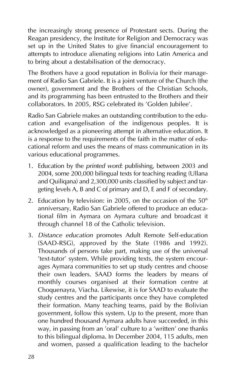the increasingly strong presence of Protestant sects. During the Reagan presidency, the Institute for Religion and Democracy was set up in the United States to give financial encouragement to attempts to introduce alienating religions into Latin America and to bring about a destabilisation of the democracy.

The Brothers have a good reputation in Bolivia for their management of Radio San Gabriele. It is a joint venture of the Church (the owner), government and the Brothers of the Christian Schools, and its programming has been entrusted to the Brothers and their collaborators. In 2005, RSG celebrated its 'Golden Jubilee'.

Radio San Gabriele makes an outstanding contribution to the education and evangelisation of the indigenous peoples. It is acknowledged as a pioneering attempt in alternative education. It is a response to the requirements of the faith in the matter of educational reform and uses the means of mass communication in its various educational programmes.

- 1. Education by the *printed word*: publishing, between 2003 and 2004, some 200,000 bilingual texts for teaching reading (Ullana and Quiliqana) and 2,300,000 units classified by subject and targeting levels A, B and C of primary and D, E and F of secondary.
- 2. Education by television: in 2005, on the occasion of the  $50<sup>th</sup>$ anniversary, Radio San Gabriele offered to produce an educational film in Aymara on Aymara culture and broadcast it through channel 18 of the Catholic television.
- 3. *Distance education* promotes Adult Remote Self-education (SAAD-RSG), approved by the State (1986 and 1992). Thousands of persons take part, making use of the universal 'text-tutor' system. While providing texts, the system encourages Aymara communities to set up study centres and choose their own leaders. SAAD forms the leaders by means of monthly courses organised at their formation centre at Choquenayra, Viacha. Likewise, it is for SAAD to evaluate the study centres and the participants once they have completed their formation. Many teaching teams, paid by the Bolivian government, follow this system. Up to the present, more than one hundred thousand Aymara adults have succeeded, in this way, in passing from an 'oral' culture to a 'written' one thanks to this bilingual diploma. In December 2004, 115 adults, men and women, passed a qualification leading to the bachelor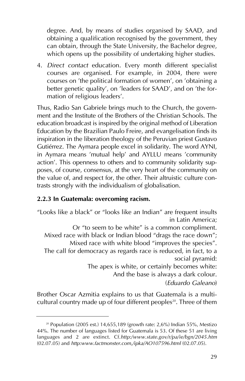degree. And, by means of studies organised by SAAD, and obtaining a qualification recognised by the government, they can obtain, through the State University, the Bachelor degree, which opens up the possibility of undertaking higher studies.

4. *Direct contact* education. Every month different specialist courses are organised. For example, in 2004, there were courses on 'the political formation of women', on 'obtaining a better genetic quality', on 'leaders for SAAD', and on 'the formation of religious leaders'.

Thus, Radio San Gabriele brings much to the Church, the government and the Institute of the Brothers of the Christian Schools. The education broadcast is inspired by the original method of Liberation Education by the Brazilian Paulo Freire, and evangelisation finds its inspiration in the liberation theology of the Peruvian priest Gustavo Gutiérrez. The Aymara people excel in solidarity. The word AYNI, in Aymara means 'mutual help' and AYLLU means 'community action'. This openness to others and to community solidarity supposes, of course, consensus, at the very heart of the community on the value of, and respect for, the other. Their altruistic culture contrasts strongly with the individualism of globalisation.

## **2.2.3 In Guatemala: overcoming racism.**

"Looks like a black" or "looks like an Indian" are frequent insults in Latin America; Or "to seem to be white" is a common compliment. Mixed race with black or Indian blood "drags the race down"; Mixed race with white blood "improves the species". The call for democracy as regards race is reduced, in fact, to a social pyramid: The apex is white, or certainly becomes white: And the base is always a dark colour. (*Eduardo Galeano*)

Brother Oscar Azmitia explains to us that Guatemala is a multicultural country made up of four different peoples<sup>20</sup>. Three of them

<sup>&</sup>lt;sup>20</sup> Population (2005 est.) 14,655,189 (growth rate: 2,6%) Indian 55%, Mestizo 44%. The number of languages listed for Guatemala is 53. Of these 51 are living languages and 2 are extinct. Cf.*http:/www.state.gov/r/pa/ie/bgn/2045.htm* (02.07.05) and *http:www.factmonster.com,/ipka/AO107596.html* (02.07.05).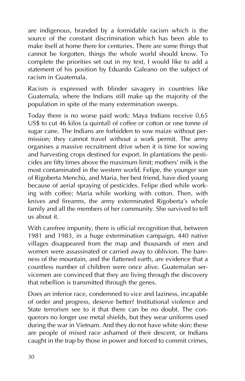are indigenous, branded by a formidable racism which is the source of the constant discrimination which has been able to make itself at home there for centuries. There are some things that cannot be forgotten, things the whole world should know. To complete the priorities set out in my text, I would like to add a statement of his position by Eduardo Galeano on the subject of racism in Guatemala.

Racism is expressed with blinder savagery in countries like Guatemala, where the Indians still make up the majority of the population in spite of the many extermination sweeps.

Today there is no worse paid work: Maya Indians receive 0.65 US\$ to cut 46 kilos (a quintal) of coffee or cotton or one tonne of sugar cane. The Indians are forbidden to sow maize without permission; they cannot travel without a work permit. The army organises a massive recruitment drive when it is time for sowing and harvesting crops destined for export. In plantations the pesticides are fifty times above the maximum limit; mothers' milk is the most contaminated in the western world. Felipe, the younger son of Rigoberta Menchù, and Maria, her best friend, have died young because of aerial spraying of pesticides. Felipe died while working with coffee; Maria while working with cotton. Then, with knives and firearms, the army exterminated Rigoberta's whole family and all the members of her community. She survived to tell us about it.

With carefree impunity, there is official recognition that, between 1981 and 1983, in a huge extermination campaign, 440 native villages disappeared from the map and thousands of men and women were assassinated or carried away to oblivion. The bareness of the mountain, and the flattened earth, are evidence that a countless number of children were once alive. Guatemalan servicemen are convinced that they are living through the discovery that rebellion is transmitted through the genes.

Does an inferior race, condemned to vice and laziness, incapable of order and progress, deserve better? Institutional violence and State terrorism see to it that there can be no doubt. The conquerors no longer use metal shields, but they wear uniforms used during the war in Vietnam. And they do not have white skin: these are people of mixed race ashamed of their descent, or Indians caught in the trap by those in power and forced to commit crimes,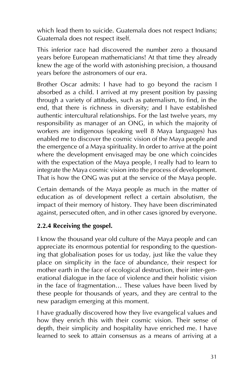which lead them to suicide. Guatemala does not respect Indians; Guatemala does not respect itself.

This inferior race had discovered the number zero a thousand years before European mathematicians! At that time they already knew the age of the world with astonishing precision, a thousand years before the astronomers of our era.

Brother Oscar admits: I have had to go beyond the racism I absorbed as a child. I arrived at my present position by passing through a variety of attitudes, such as paternalism, to find, in the end, that there is richness in diversity; and I have established authentic intercultural relationships. For the last twelve years, my responsibility as manager of an ONG, in which the majority of workers are indigenous (speaking well 8 Maya languages) has enabled me to discover the cosmic vision of the Maya people and the emergence of a Maya spirituality. In order to arrive at the point where the development envisaged may be one which coincides with the expectation of the Maya people, I really had to learn to integrate the Maya cosmic vision into the process of development. That is how the ONG was put at the service of the Maya people.

Certain demands of the Maya people as much in the matter of education as of development reflect a certain absolutism, the impact of their memory of history. They have been discriminated against, persecuted often, and in other cases ignored by everyone.

## **2.2.4 Receiving the gospel.**

I know the thousand year old culture of the Maya people and can appreciate its enormous potential for responding to the questioning that globalisation poses for us today, just like the value they place on simplicity in the face of abundance, their respect for mother earth in the face of ecological destruction, their inter-generational dialogue in the face of violence and their holistic vision in the face of fragmentation… These values have been lived by these people for thousands of years, and they are central to the new paradigm emerging at this moment.

I have gradually discovered how they live evangelical values and how they enrich this with their cosmic vision. Their sense of depth, their simplicity and hospitality have enriched me. I have learned to seek to attain consensus as a means of arriving at a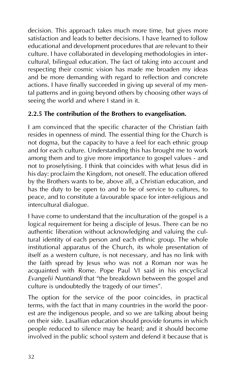decision. This approach takes much more time, but gives more satisfaction and leads to better decisions. I have learned to follow educational and development procedures that are relevant to their culture. I have collaborated in developing methodologies in intercultural, bilingual education. The fact of taking into account and respecting their cosmic vision has made me broaden my ideas and be more demanding with regard to reflection and concrete actions. I have finally succeeded in giving up several of my mental patterns and in going beyond others by choosing other ways of seeing the world and where I stand in it.

## **2.2.5 The contribution of the Brothers to evangelisation.**

I am convinced that the specific character of the Christian faith resides in openness of mind. The essential thing for the Church is not dogma, but the capacity to have a feel for each ethnic group and for each culture. Understanding this has brought me to work among them and to give more importance to gospel values - and not to proselytising. I think that coincides with what Jesus did in his day: proclaim the Kingdom, not oneself. The education offered by the Brothers wants to be, above all, a Christian education, and has the duty to be open to and to be of service to cultures, to peace, and to constitute a favourable space for inter-religious and intercultural dialogue.

I have come to understand that the inculturation of the gospel is a logical requirement for being a disciple of Jesus. There can be no authentic liberation without acknowledging and valuing the cultural identity of each person and each ethnic group. The whole institutional apparatus of the Church, its whole presentation of itself as a western culture, is not necessary, and has no link with the faith spread by Jesus who was not a Roman nor was he acquainted with Rome. Pope Paul VI said in his encyclical *Evangelii Nuntiandi* that "the breakdown between the gospel and culture is undoubtedly the tragedy of our times".

The option for the service of the poor coincides, in practical terms, with the fact that in many countries in the world the poorest are the indigenous people, and so we are talking about being on their side. Lasallian education should provide forums in which people reduced to silence may be heard; and it should become involved in the public school system and defend it because that is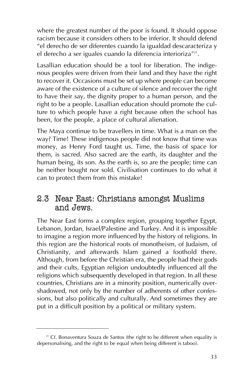where the greatest number of the poor is found. It should oppose racism because it considers others to be inferior. It should defend "el derecho de ser diferentes cuando la igualdad descaracteriza y el derecho a ser iguales cuando la diferencia interioriza"<sup>21</sup>.

Lasallian education should be a tool for liberation. The indigenous peoples were driven from their land and they have the right to recover it. Occasions must be set up where people can become aware of the existence of a culture of silence and recover the right to have their say, the dignity proper to a human person, and the right to be a people. Lasallian education should promote the culture to which people have a right because often the school has been, for the people, a place of cultural alienation.

The Maya continue to be travellers in time. What is a man on the way? Time! These indigenous people did not know that time was money, as Henry Ford taught us. Time, the basis of space for them, is sacred. Also sacred are the earth, its daughter and the human being, its son. As the earth is, so are the people; time can be neither bought nor sold. Civilisation continues to do what it can to protect them from this mistake!

## 2.3 Near East: Christians amongst Muslims and Jews.

The Near East forms a complex region, grouping together Egypt, Lebanon, Jordan, Israel/Palestine and Turkey. And it is impossible to imagine a region more influenced by the history of religions. In this region are the historical roots of monotheism, of Judaism, of Christianity, and afterwards Islam gained a foothold there. Although, from before the Christian era, the people had their gods and their cults, Egyptian religion undoubtedly influenced all the religions which subsequently developed in that region. In all these countries, Christians are in a minority position, numerically overshadowed, not only by the number of adherents of other confessions, but also politically and culturally. And sometimes they are put in a difficult position by a political or military system.

 $21$  Cf. Bonaventura Souza de Santos (the right to be different when equality is depersonalising, and the right to be equal when being different is taboo).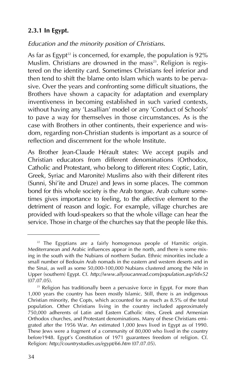## **2.3.1 In Egypt.**

## *Education and the minority position of Christians.*

As far as Egypt<sup>22</sup> is concerned, for example, the population is  $92\%$ Muslim. Christians are drowned in the mass<sup>23</sup>. Religion is registered on the identity card. Sometimes Christians feel inferior and then tend to shift the blame onto Islam which wants to be pervasive. Over the years and confronting some difficult situations, the Brothers have shown a capacity for adaptation and exemplary inventiveness in becoming established in such varied contexts, without having any 'Lasallian' model or any 'Conduct of Schools' to pave a way for themselves in those circumstances. As is the case with Brothers in other continents, their experience and wisdom, regarding non-Christian students is important as a source of reflection and discernment for the whole Institute.

As Brother Jean-Claude Hérault states: We accept pupils and Christian educators from different denominations (Orthodox, Catholic and Protestant, who belong to different rites: Coptic, Latin, Greek, Syriac and Maronite) Muslims also with their different rites (Sunni, Shi'ite and Druze) and Jews in some places. The common bond for this whole society is the Arab tongue. Arab culture sometimes gives importance to feeling, to the affective element to the detriment of reason and logic. For example, village churches are provided with loud-speakers so that the whole village can hear the service. Those in charge of the churches say that the people like this.

 $22$  The Egyptians are a fairly homogenous people of Hamitic origin. Mediterranean and Arabic influences appear in the north, and there is some mixing in the south with the Nubians of northern Sudan. Ethnic minorities include a small number of Bedouin Arab nomads in the eastern and western deserts and in the Sinai, as well as some 50,000-100,000 Nubians clustered among the Nile in Upper (southern) Egypt. Cf. *http://www.allyoucanread.com/population.asp?id=52* (07.07.05).

 $23$  Religion has traditionally been a pervasive force in Egypt. For more than 1,000 years the country has been mostly Islamic. Still, there is an indigenous Christian minority, the Copts, which accounted for as much as 8.5% of the total population. Other Christians living in the country included approximately 750,000 adherents of Latin and Eastern Catholic rites, Greek and Armenian Orthodox churches, and Protestant denominations. Many of these Christians emigrated after the 1956 War. An estimated 1,000 Jews lived in Egypt as of 1990. These Jews were a fragment of a community of 80,000 who lived in the country before1948. Egypt's Constitution of 1971 guarantees freedom of religion. Cf. Religion: *http://countrystudies.us/egypt/66.htm* (07.07.05).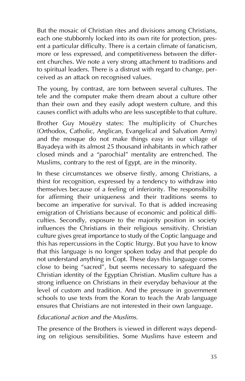But the mosaic of Christian rites and divisions among Christians, each one stubbornly locked into its own rite for protection, present a particular difficulty. There is a certain climate of fanaticism, more or less expressed, and competitiveness between the different churches. We note a very strong attachment to traditions and to spiritual leaders. There is a distrust with regard to change, perceived as an attack on recognised values.

The young, by contrast, are torn between several cultures. The tele and the computer make them dream about a culture other than their own and they easily adopt western culture, and this causes conflict with adults who are less susceptible to that culture.

Brother Guy Mouëzy states: The multiplicity of Churches (Orthodox, Catholic, Anglican, Evangelical and Salvation Army) and the mosque do not make things easy in our village of Bayadeya with its almost 25 thousand inhabitants in which rather closed minds and a "parochial" mentality are entrenched. The Muslims, contrary to the rest of Egypt, are in the minority.

In these circumstances we observe firstly, among Christians, a thirst for recognition, expressed by a tendency to withdraw into themselves because of a feeling of inferiority. The responsibility for affirming their uniqueness and their traditions seems to become an imperative for survival. To that is added increasing emigration of Christians because of economic and political difficulties. Secondly, exposure to the majority position in society influences the Christians in their religious sensitivity. Christian culture gives great importance to study of the Coptic language and this has repercussions in the Coptic liturgy. But you have to know that this language is no longer spoken today and that people do not understand anything in Copt. These days this language comes close to being "sacred", but seems necessary to safeguard the Christian identity of the Egyptian Christian. Muslim culture has a strong influence on Christians in their everyday behaviour at the level of custom and tradition. And the pressure in government schools to use texts from the Koran to teach the Arab language ensures that Christians are not interested in their own language.

## *Educational action and the Muslims.*

The presence of the Brothers is viewed in different ways depending on religious sensibilities. Some Muslims have esteem and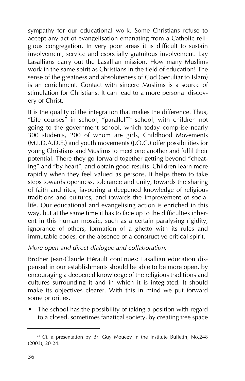sympathy for our educational work. Some Christians refuse to accept any act of evangelisation emanating from a Catholic religious congregation. In very poor areas it is difficult to sustain involvement, service and especially gratuitous involvement. Lay Lasallians carry out the Lasallian mission. How many Muslims work in the same spirit as Christians in the field of education! The sense of the greatness and absoluteness of God (peculiar to Islam) is an enrichment. Contact with sincere Muslims is a source of stimulation for Christians. It can lead to a more personal discovery of Christ.

It is the quality of the integration that makes the difference. Thus, "Life courses" in school, "parallel"24 school, with children not going to the government school, which today comprise nearly 300 students, 200 of whom are girls, Childhood Movements (M.I.D.A.D.E.) and youth movements (J.O.C.) offer possibilities for young Christians and Muslims to meet one another and fulfil their potential. There they go forward together getting beyond "cheating" and "by heart", and obtain good results. Children learn more rapidly when they feel valued as persons. It helps them to take steps towards openness, tolerance and unity, towards the sharing of faith and rites, favouring a deepened knowledge of religious traditions and cultures, and towards the improvement of social life. Our educational and evangelising action is enriched in this way, but at the same time it has to face up to the difficulties inherent in this human mosaic, such as a certain paralysing rigidity, ignorance of others, formation of a ghetto with its rules and immutable codes, or the absence of a constructive critical spirit.

## *More open and direct dialogue and collaboration.*

Brother Jean-Claude Hérault continues: Lasallian education dispensed in our establishments should be able to be more open, by encouraging a deepened knowledge of the religious traditions and cultures surrounding it and in which it is integrated. It should make its objectives clearer. With this in mind we put forward some priorities.

• The school has the possibility of taking a position with regard to a closed, sometimes fanatical society, by creating free space

 $24$  Cf. a presentation by Br. Guy Mouëzy in the Institute Bulletin, No.248 (2003), 20-24.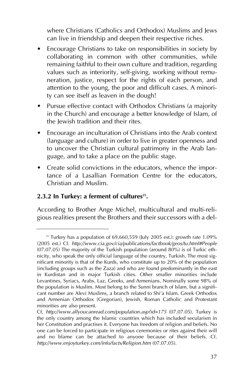where Christians (Catholics and Orthodox) Muslims and Jews can live in friendship and deepen their respective riches.

- Encourage Christians to take on responsibilities in society by collaborating in common with other communities, while remaining faithful to their own culture and tradition, regarding values such as interiority, self-giving, working without remuneration, justice, respect for the rights of each person, and attention to the young, the poor and difficult cases. A minority can see itself as leaven in the dough!
- Pursue effective contact with Orthodox Christians (a majority in the Church) and encourage a better knowledge of Islam, of the Jewish tradition and their rites.
- Encourage an inculturation of Christians into the Arab context (language and culture) in order to live in greater openness and to uncover the Christian cultural patrimony in the Arab language, and to take a place on the public stage.
- Create solid convictions in the educators, whence the importance of a Lasallian Formation Centre for the educators, Christian and Muslim.

## 2.3.2 In Turkey: a ferment of cultures<sup>25</sup>.

According to Brother Ange Michel, multicultural and multi-religious realities present the Brothers and their successors with a del-

 $25$  Turkey has a population of 69,660,559 (July 2005 est.): growth rate 1.09% (2005 est.) Cf. *http://www.cia.gov/cia/publications/factbook/geos/tu.html#People* (07.07.05) The majority of the Turkish population (around 80%) is of Turkic ethnicity, who speak the only official language of the country, Turkish. The most significant minority is that of the Kurds, who constitute up to 20% of the population (including groups such as the Zaza) and who are found predominantly in the east in Kurdistan and in major Turkish cities. Other smaller minorities include Levantines, Syriacs, Arabs, Laz, Greeks, and Armenians. Nominally some 98% of the population is Muslim. Most belong to the Sunni branch of Islam, but a significant number are Alevi Muslims, a branch related to Shi'a Islam. Greek Orthodox and Armenian Orthodox (Gregorian), Jewish, Roman Catholic and Protestant minorities are also present.

Cf. *http://www.allyoucanread.com/population.asp?id=175* (07.07.05). Turkey is the only country among the Islamic countries which has included secularism in her Constitution and practises it. Everyone has freedom of religion and beliefs. No one can be forced to participate in religious ceremonies or rites against their will and no blame can be attached to anyone because of their beliefs. Cf. *http://www.enjoyturkey.com/info/facts/Religion.htm* (07.07.05).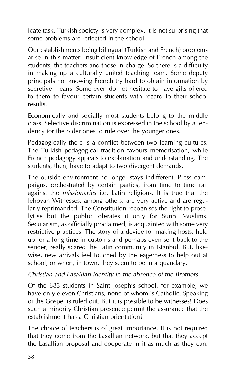icate task. Turkish society is very complex. It is not surprising that some problems are reflected in the school.

Our establishments being bilingual (Turkish and French) problems arise in this matter: insufficient knowledge of French among the students, the teachers and those in charge. So there is a difficulty in making up a culturally united teaching team. Some deputy principals not knowing French try hard to obtain information by secretive means. Some even do not hesitate to have gifts offered to them to favour certain students with regard to their school results.

Economically and socially most students belong to the middle class. Selective discrimination is expressed in the school by a tendency for the older ones to rule over the younger ones.

Pedagogically there is a conflict between two learning cultures. The Turkish pedagogical tradition favours memorisation, while French pedagogy appeals to explanation and understanding. The students, then, have to adapt to two divergent demands.

The outside environment no longer stays indifferent. Press campaigns, orchestrated by certain parties, from time to time rail against the *missionaries* i.e. Latin religious. It is true that the Jehovah Witnesses, among others, are very active and are regularly reprimanded. The Constitution recognises the right to proselytise but the public tolerates it only for Sunni Muslims. Secularism, as officially proclaimed, is acquainted with some very restrictive practices. The story of a device for making hosts, held up for a long time in customs and perhaps even sent back to the sender, really scared the Latin community in Istanbul. But, likewise, new arrivals feel touched by the eagerness to help out at school, or when, in town, they seem to be in a quandary.

## *Christian and Lasallian identity in the absence of the Brothers.*

Of the 683 students in Saint Joseph's school, for example, we have only eleven Christians, none of whom is Catholic. Speaking of the Gospel is ruled out. But it is possible to be witnesses! Does such a minority Christian presence permit the assurance that the establishment has a Christian orientation?

The choice of teachers is of great importance. It is not required that they come from the Lasallian network, but that they accept the Lasallian proposal and cooperate in it as much as they can.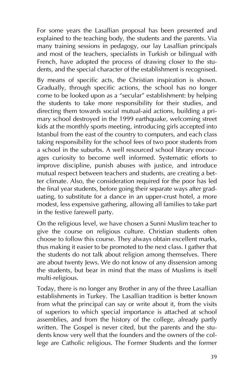For some years the Lasallian proposal has been presented and explained to the teaching body, the students and the parents. Via many training sessions in pedagogy, our lay Lasallian principals and most of the teachers, specialists in Turkish or bilingual with French, have adopted the process of drawing closer to the students, and the special character of the establishment is recognised.

By means of specific acts, the Christian inspiration is shown. Gradually, through specific actions, the school has no longer come to be looked upon as a "secular" establishment: by helping the students to take more responsibility for their studies, and directing them towards social mutual-aid actions, building a primary school destroyed in the 1999 earthquake, welcoming street kids at the monthly sports meeting, introducing girls accepted into Istanbul from the east of the country to computers, and each class taking responsibility for the school fees of two poor students from a school in the suburbs. A well resourced school library encourages curiosity to become well informed. Systematic efforts to improve discipline, punish abuses with justice, and introduce mutual respect between teachers and students, are creating a better climate. Also, the consideration required for the poor has led the final year students, before going their separate ways after graduating, to substitute for a dance in an upper-crust hotel, a more modest, less expensive gathering, allowing all families to take part in the festive farewell party.

On the religious level, we have chosen a Sunni Muslim teacher to give the course on religious culture. Christian students often choose to follow this course. They always obtain excellent marks, thus making it easier to be promoted to the next class. I gather that the students do not talk about religion among themselves. There are about twenty Jews. We do not know of any dissension among the students, but bear in mind that the mass of Muslims is itself multi-religious.

Today, there is no longer any Brother in any of the three Lasallian establishments in Turkey. The Lasallian tradition is better known from what the principal can say or write about it, from the visits of superiors to which special importance is attached at school assemblies, and from the history of the college, already partly written. The Gospel is never cited, but the parents and the students know very well that the founders and the owners of the college are Catholic religious. The Former Students and the former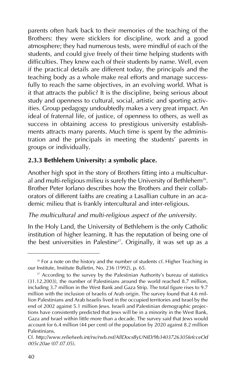parents often hark back to their memories of the teaching of the Brothers: they were sticklers for discipline, work and a good atmosphere; they had numerous tests, were mindful of each of the students, and could give freely of their time helping students with difficulties. They knew each of their students by name. Well, even if the practical details are different today, the principals and the teaching body as a whole make real efforts and manage successfully to reach the same objectives, in an evolving world. What is it that attracts the public? It is the discipline, being serious about study and openness to cultural, social, artistic and sporting activities. Group pedagogy undoubtedly makes a very great impact. An ideal of fraternal life, of justice, of openness to others, as well as success in obtaining access to prestigious university establishments attracts many parents. Much time is spent by the administration and the principals in meeting the students' parents in groups or individually.

### **2.3.3 Bethlehem University: a symbolic place.**

Another high spot in the story of Brothers fitting into a multicultural and multi-religious milieu is surely the University of Bethlehem<sup>26</sup>. Brother Peter Iorlano describes how the Brothers and their collaborators of different faiths are creating a Lasallian culture in an academic milieu that is frankly intercultural and inter-religious.

### *The multicultural and multi-religious aspect of the university.*

In the Holy Land, the University of Bethlehem is the only Catholic institution of higher learning. It has the reputation of being one of the best universities in Palestine<sup>27</sup>. Originally, it was set up as a

<sup>&</sup>lt;sup>26</sup> For a note on the history and the number of students cf. Higher Teaching in our Institute, Institute Bulletin, No. 236 (1992), p. 65.

 $27$  According to the survey by the Palestinian Authority's bureau of statistics (31.12.2003), the number of Palestinians around the world reached 8.7 million, including 3.7 million in the West Bank and Gaza Strip. The total figure rises to 9.7 million with the inclusion of Israelis of Arab origin. The survey found that 4.6 million Palestinians and Arab Israelis lived in the occupied territories and Israel by the end of 2002 against 5.1 million Jews. Israeli and Palestinian demographic projections have consistently predicted that Jews will be in a minority in the West Bank, Gaza and Israel within little more than a decade. The survey said that Jews would account for 6.4 million (44 per cent) of the population by 2020 against 8.2 million Palestinians.

Cf. *http://www.reliefweb.int/rw/rwb.nsf/AllDocsByUNID/9b3403726305fefcceOd 005c20ae* (07.07.05).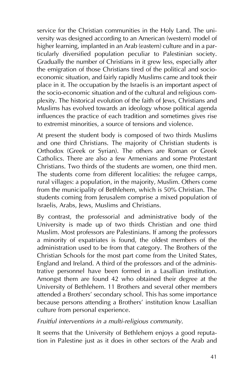service for the Christian communities in the Holy Land. The university was designed according to an American (western) model of higher learning, implanted in an Arab (eastern) culture and in a particularly diversified population peculiar to Palestinian society. Gradually the number of Christians in it grew less, especially after the emigration of those Christians tired of the political and socioeconomic situation, and fairly rapidly Muslims came and took their place in it. The occupation by the Israelis is an important aspect of the socio-economic situation and of the cultural and religious complexity. The historical evolution of the faith of Jews, Christians and Muslims has evolved towards an ideology whose political agenda influences the practice of each tradition and sometimes gives rise to extremist minorities, a source of tensions and violence.

At present the student body is composed of two thirds Muslims and one third Christians. The majority of Christian students is Orthodox (Greek or Syrian). The others are Roman or Greek Catholics. There are also a few Armenians and some Protestant Christians. Two thirds of the students are women, one third men. The students come from different localities: the refugee camps, rural villages: a population, in the majority, Muslim. Others come from the municipality of Bethlehem, which is 50% Christian. The students coming from Jerusalem comprise a mixed population of Israelis, Arabs, Jews, Muslims and Christians.

By contrast, the professorial and administrative body of the University is made up of two thirds Christian and one third Muslim. Most professors are Palestinians. If among the professors a minority of expatriates is found, the oldest members of the administration used to be from that category. The Brothers of the Christian Schools for the most part come from the United States, England and Ireland. A third of the professors and of the administrative personnel have been formed in a Lasallian institution. Amongst them are found 42 who obtained their degree at the University of Bethlehem. 11 Brothers and several other members attended a Brothers' secondary school. This has some importance because persons attending a Brothers' institution know Lasallian culture from personal experience.

*Fruitful interventions in a multi-religious community.*

It seems that the University of Bethlehem enjoys a good reputation in Palestine just as it does in other sectors of the Arab and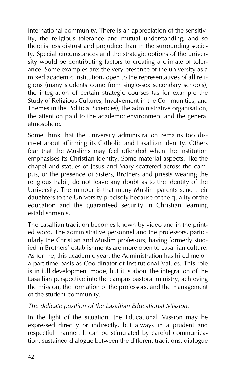international community. There is an appreciation of the sensitivity, the religious tolerance and mutual understanding, and so there is less distrust and prejudice than in the surrounding society. Special circumstances and the strategic options of the university would be contributing factors to creating a climate of tolerance. Some examples are: the very presence of the university as a mixed academic institution, open to the representatives of all religions (many students come from single-sex secondary schools), the integration of certain strategic courses (as for example the Study of Religious Cultures, Involvement in the Communities, and Themes in the Political Sciences), the administrative organisation, the attention paid to the academic environment and the general atmosphere.

Some think that the university administration remains too discreet about affirming its Catholic and Lasallian identity. Others fear that the Muslims may feel offended when the institution emphasises its Christian identity. Some material aspects, like the chapel and statues of Jesus and Mary scattered across the campus, or the presence of Sisters, Brothers and priests wearing the religious habit, do not leave any doubt as to the identity of the University. The rumour is that many Muslim parents send their daughters to the University precisely because of the quality of the education and the guaranteed security in Christian learning establishments.

The Lasallian tradition becomes known by video and in the printed word. The administrative personnel and the professors, particularly the Christian and Muslim professors, having formerly studied in Brothers' establishments are more open to Lasallian culture. As for me, this academic year, the Administration has hired me on a part-time basis as Coordinator of Institutional Values. This role is in full development mode, but it is about the integration of the Lasallian perspective into the campus pastoral ministry, achieving the mission, the formation of the professors, and the management of the student community.

#### *The delicate position of the Lasallian Educational Mission.*

In the light of the situation, the Educational Mission may be expressed directly or indirectly, but always in a prudent and respectful manner. It can be stimulated by careful communication, sustained dialogue between the different traditions, dialogue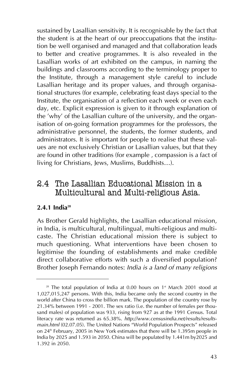sustained by Lasallian sensitivity. It is recognisable by the fact that the student is at the heart of our preoccupations that the institution be well organised and managed and that collaboration leads to better and creative programmes. It is also revealed in the Lasallian works of art exhibited on the campus, in naming the buildings and classrooms according to the terminology proper to the Institute, through a management style careful to include Lasallian heritage and its proper values, and through organisational structures (for example, celebrating feast days special to the Institute, the organisation of a reflection each week or even each day, etc. Explicit expression is given to it through explanation of the 'why' of the Lasallian culture of the university, and the organisation of on-going formation programmes for the professors, the administrative personnel, the students, the former students, and administrators. It is important for people to realise that these values are not exclusively Christian or Lasallian values, but that they are found in other traditions (for example , compassion is a fact of living for Christians, Jews, Muslims, Buddhists…).

# 2.4 The Lasallian Educational Mission in a Multicultural and Multi-religious Asia.

### **2.4.1 India28**

As Brother Gerald highlights, the Lasallian educational mission, in India, is multicultural, multilingual, multi-religious and multicaste. The Christian educational mission there is subject to much questioning. What interventions have been chosen to legitimise the founding of establishments and make credible direct collaborative efforts with such a diversified population? Brother Joseph Fernando notes: *India is a land of many religions*

 $28$  The total population of India at 0.00 hours on  $1<sup>*</sup>$  March 2001 stood at 1,027,015,247 persons. With this, India became only the second country in the world after China to cross the billion mark. The population of the country rose by 21.34% between 1991 - 2001. The sex ratio (i.e. the number of females per thousand males) of population was 933, rising from 927 as at the 1991 Census. Total literacy rate was returned as 65.38%. *http://www.censusindia.net/results/resultsmain.html* (02.07.05). The United Nations "World Population Prospects" released on  $24<sup>th</sup>$  February, 2005 in New York estimates that there will be 1.395m people in India by 2025 and 1.593 in 2050. China will be populated by 1.441m by2025 and 1.392 in 2050.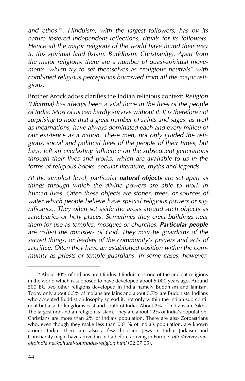*and ethos 29. Hinduism, with the largest followers, has by its nature fostered independent reflections, rituals for its followers. Hence all the major religions of the world have found their way to this spiritual land (Islam, Buddhism, Christianity). Apart from the major religions, there are a number of quasi-spiritual movements, which try to set themselves as "religious neutrals" with combined religious perceptions borrowed from all the major religions*.

Brother Arockiadoss clarifies the Indian religious context: *Religion (Dharma) has always been a vital force in the lives of the people of India. Most of us can hardly survive without it. It is therefore not surprising to note that a great number of saints and sages, as well as incarnations, have always dominated each and every milieu of our existence as a nation. These men, not only guided the religious, social and political lives of the people of their times, but have left an everlasting influence on the subsequent generations through their lives and works, which are available to us in the forms of religious books, secular literature, myths and legends*.

*At the simplest level, particular natural objects are set apart as things through which the divine powers are able to work in human lives. Often these objects are stones, trees, or sources of water which people believe have special religious powers or significance. They often set aside the areas around such objects as sanctuaries or holy places. Sometimes they erect buildings near them for use as temples, mosques or churches. Particular people are called the ministers of God. They may be guardians of the sacred things, or leaders of the community's prayers and acts of sacrifice. Often they have an established position within the community as priests or temple guardians. In some cases, however,*

<sup>&</sup>lt;sup>29</sup> About 80% of Indians are Hindus. Hinduism is one of the ancient religions in the world which is supposed to have developed about 5,000 years ago. Around 500 BC two other religions developed in India namely Buddhism and Jainism. Today only about 0.5% of Indians are Jains and about 0.7% are Buddhists. Indians who accepted Buddist philosophy spread it, not only within the Indian sub-continent but also to kingdoms east and south of India. About 2% of Indians are Sikhs. The largest non-Indian religion is Islam. They are about 12% of India's population. Christians are more than 2% of India's population. There are also Zoroastrians who, even though they make less than 0.01% of India's population, are known around India. There are also a few thousand Jews in India. Judaism and Christianity might have arrived in India before arriving in Europe. *http://www.traveltoindia.net/cultural-tour/india-religion.html* (02.07.05).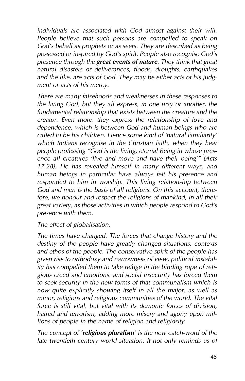*individuals are associated with God almost against their will. People believe that such persons are compelled to speak on God's behalf as prophets or as seers. They are described as being possessed or inspired by God's spirit. People also recognise God's presence through the great events of nature. They think that great natural disasters or deliverances, floods, droughts, earthquakes and the like, are acts of God. They may be either acts of his judgment or acts of his mercy.*

*There are many falsehoods and weaknesses in these responses to the living God, but they all express, in one way or another, the fundamental relationship that exists between the creature and the creator. Even more, they express the relationship of love and dependence, which is between God and human beings who are called to be his children. Hence some kind of 'natural familiarity' which Indians recognise in the Christian faith, when they hear people professing "God is the living, eternal Being in whose presence all creatures 'live and move and have their being'" (Acts 17.28). He has revealed himself in many different ways, and human beings in particular have always felt his presence and responded to him in worship. This living relationship between God and men is the basis of all religions. On this account, therefore, we honour and respect the religions of mankind, in all their great variety, as those activities in which people respond to God's presence with them.*

#### *The effect of globalisation.*

*The times have changed. The forces that change history and the destiny of the people have greatly changed situations, contexts and ethos of the people. The conservative spirit of the people has given rise to orthodoxy and narrowness of view, political instability has compelled them to take refuge in the binding rope of religious creed and emotions, and social insecurity has forced them to seek security in the new forms of that communalism which is now quite explicitly showing itself in all the major, as well as minor, religions and religious communities of the world. The vital force is still vital, but vital with its demonic forces of division, hatred and terrorism, adding more misery and agony upon millions of people in the name of religion and religiosity*

*The concept of 'religious pluralism' is the new catch-word of the late twentieth century world situation. It not only reminds us of*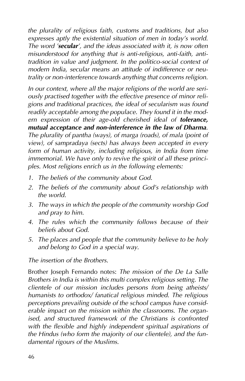*the plurality of religious faith, customs and traditions, but also expresses aptly the existential situation of men in today's world. The word 'secular', and the ideas associated with it, is now often misunderstood for anything that is anti-religious, anti-faith, antitradition in value and judgment. In the politico-social context of modern India, secular means an attitude of indifference or neutrality or non-interference towards anything that concerns religion.*

*In our context, where all the major religions of the world are seriously practised together with the effective presence of minor religions and traditional practices, the ideal of secularism was found readily acceptable among the populace. They found it in the modern expression of their age-old cherished ideal of tolerance, mutual acceptance and non-interference in the law of Dharma. The plurality of pantha (ways), of marga (roads), of mala (point of view), of sampradaya (sects) has always been accepted in every form of human activity, including religious, in India from time immemorial. We have only to revive the spirit of all these principles. Most religions enrich us in the following elements:*

- *1. The beliefs of the community about God.*
- *2. The beliefs of the community about God's relationship with the world.*
- *3. The ways in which the people of the community worship God and pray to him.*
- *4. The rules which the community follows because of their beliefs about God.*
- *5. The places and people that the community believe to be holy and belong to God in a special way.*

*The insertion of the Brothers.*

Brother Joseph Fernando notes: *The mission of the De La Salle Brothers in India is within this multi complex religious setting. The clientele of our mission includes persons from being atheists/ humanists to orthodox/ fanatical religious minded. The religious perceptions prevailing outside of the school campus have considerable impact on the mission within the classrooms. The organised, and structured framework of the Christians is confronted with the flexible and highly independent spiritual aspirations of the Hindus (who form the majority of our clientele), and the fundamental rigours of the Muslims.*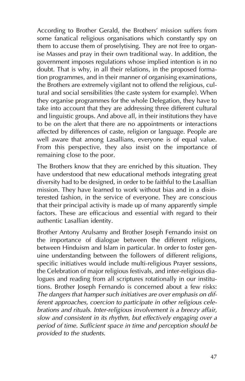According to Brother Gerald, the Brothers' mission suffers from some fanatical religious organisations which constantly spy on them to accuse them of proselytising. They are not free to organise Masses and pray in their own traditional way. In addition, the government imposes regulations whose implied intention is in no doubt. That is why, in all their relations, in the proposed formation programmes, and in their manner of organising examinations, the Brothers are extremely vigilant not to offend the religious, cultural and social sensibilities (the caste system for example). When they organise programmes for the whole Delegation, they have to take into account that they are addressing three different cultural and linguistic groups. And above all, in their institutions they have to be on the alert that there are no appointments or interactions affected by differences of caste, religion or language. People are well aware that among Lasallians, everyone is of equal value. From this perspective, they also insist on the importance of remaining close to the poor.

The Brothers know that they are enriched by this situation. They have understood that new educational methods integrating great diversity had to be designed, in order to be faithful to the Lasallian mission. They have learned to work without bias and in a disinterested fashion, in the service of everyone. They are conscious that their principal activity is made up of many apparently simple factors. These are efficacious and essential with regard to their authentic Lasallian identity.

Brother Antony Arulsamy and Brother Joseph Fernando insist on the importance of dialogue between the different religions, between Hinduism and Islam in particular. In order to foster genuine understanding between the followers of different religions, specific initiatives would include multi-religious Prayer sessions, the Celebration of major religious festivals, and inter-religious dialogues and reading from all scriptures rotationally in our institutions. Brother Joseph Fernando is concerned about a few risks: *The dangers that hamper such initiatives are over emphasis on different approaches, coercion to participate in other religious celebrations and rituals. Inter-religious involvement is a breezy affair, slow and consistent in its rhythm, but effectively engaging over a period of time. Sufficient space in time and perception should be provided to the students.*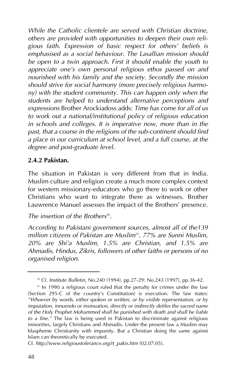*While the Catholic clientele are served with Christian doctrine, others are provided with opportunities to deepen their own religious faith. Expression of basic respect for others' beliefs is emphasised as a social behaviour. The Lasallian mission should be open to a twin approach. First it should enable the youth to appreciate one's own personal religious ethos passed on and nourished with his family and the society. Secondly the mission should strive for social harmony (more precisely religious harmony) with the student community. This can happen only when the students are helped to understand alternative perceptions and expressions* Brother Arockiadoss adds: *Time has come for all of us to work out a national/institutional policy of religious education in schools and colleges. It is imperative now, more than in the past, that a course in the religions of the sub-continent should find a place in our curriculum at school level, and a full course, at the degree and post-graduate level*.

#### **2.4.2 Pakistan.**

The situation in Pakistan is very different from that in India. Muslim culture and religion create a much more complex context for western missionary-educators who go there to work or other Christians who want to integrate there as witnesses. Brother Lauwrence Manuel assesses the impact of the Brothers' presence.

#### The *insertion of the Brothers*<sup>30</sup>.

*According to Pakistani government sources, almost all of the139 million citizens of Pakistan are Muslim31. 77% are Sunni Muslim, 20% are Shi'a Muslim, 1.5% are Christian, and 1.5% are Ahmadis, Hindus, Zikris, followers of other faiths or persons of no organised religion*.

<sup>30</sup> Cf. *Institute Bulletin*, No.240 (1994), pp.27-29: No.243 (1997), pp.36-42.

<sup>&</sup>lt;sup>31</sup> In 1990 a religious court ruled that the penalty for crimes under the law (Section 295-C of the country's Constitution) is execution. The law states: *"Whoever by words, either spoken or written, or by visible representation, or by imputation, innuendo or insinuation, directly or indirectly defiles the sacred name of the Holy Prophet Mohammed shall be punished with death and shall be liable to a fine."* The law is being used in Pakistan to discriminate against religious minorities, largely Christians and Ahmadis. Under the present law a Muslim may blaspheme Christianity with impunity. But a Christian doing the same against Islam can theoretically be executed.

Cf. *http://www.religioustolerance.org/rt\_pakis.htm* (02.07.05).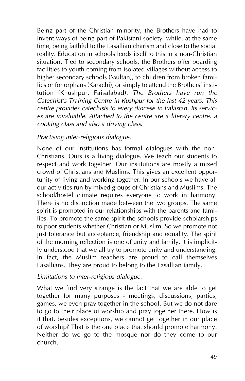Being part of the Christian minority, the Brothers have had to invent ways of being part of Pakistani society, while, at the same time, being faithful to the Lasallian charism and close to the social reality. Education in schools lends itself to this in a non-Christian situation. Tied to secondary schools, the Brothers offer boarding facilities to youth coming from isolated villages without access to higher secondary schools (Multan), to children from broken families or for orphans (Karachi), or simply to attend the Brothers' institution (Khushpur, Faisalabad). *The Brothers have run the Catechist's Training Centre in Kushpur for the last 42 years. This centre provides catechists to every diocese in Pakistan. Its services are invaluable. Attached to the centre are a literary centre, a cooking class and also a driving class*.

#### *Practising inter-religious dialogue.*

None of our institutions has formal dialogues with the non-Christians. Ours is a living dialogue. We teach our students to respect and work together. Our institutions are mostly a mixed crowd of Christians and Muslims. This gives an excellent opportunity of living and working together. In our schools we have all our activities run by mixed groups of Christians and Muslims. The school/hostel climate requires everyone to work in harmony. There is no distinction made between the two groups. The same spirit is promoted in our relationships with the parents and families. To promote the same spirit the schools provide scholarships to poor students whether Christian or Muslim. So we promote not just tolerance but acceptance, friendship and equality. The spirit of the morning reflection is one of unity and family. It is implicitly understood that we all try to promote unity and understanding. In fact, the Muslim teachers are proud to call themselves Lasallians. They are proud to belong to the Lasallian family.

### *Limitations to inter-religious dialogue.*

What we find very strange is the fact that we are able to get together for many purposes - meetings, discussions, parties, games, we even pray together in the school. But we do not dare to go to their place of worship and pray together there. How is it that, besides exceptions, we cannot get together in our place of worship? That is the one place that should promote harmony. Neither do we go to the mosque nor do they come to our church.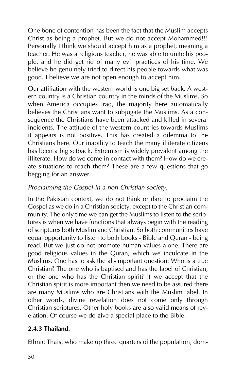One bone of contention has been the fact that the Muslim accepts Christ as being a prophet. But we do not accept Mohammed!!! Personally I think we should accept him as a prophet, meaning a teacher. He was a religious teacher, he was able to unite his people, and he did get rid of many evil practices of his time. We believe he genuinely tried to direct his people towards what was good. I believe we are not open enough to accept him.

Our affiliation with the western world is one big set back. A western country is a Christian country in the minds of the Muslims. So when America occupies Iraq, the majority here automatically believes the Christians want to subjugate the Muslims. As a consequence the Christians have been attacked and killed in several incidents. The attitude of the western countries towards Muslims it appears is not positive. This has created a dilemma to the Christians here. Our inability to teach the many illiterate citizens has been a big setback. Extremism is widely prevalent among the illiterate. How do we come in contact with them? How do we create situations to reach them? These are a few questions that go begging for an answer.

#### *Proclaiming the Gospel in a non-Christian society.*

In the Pakistan context, we do not think or dare to proclaim the Gospel as we do in a Christian society, except to the Christian community. The only time we can get the Muslims to listen to the scriptures is when we have functions that always begin with the reading of scriptures both Muslim and Christian. So both communities have equal opportunity to listen to both books - Bible and Quran - being read. But we just do not promote human values alone. There are good religious values in the Quran, which we inculcate in the Muslims. One has to ask the all-important question: Who is a true Christian? The one who is baptised and has the label of Christian, or the one who has the Christian spirit? If we accept that the Christian spirit is more important then we need to be assured there are many Muslims who are Christians with the Muslim label. In other words, divine revelation does not come only through Christian scriptures. Other holy books are also valid means of revelation. Of course we do give a special place to the Bible.

### **2.4.3 Thailand.**

Ethnic Thais, who make up three quarters of the population, dom-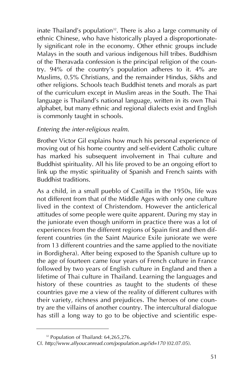inate Thailand's population $32$ . There is also a large community of ethnic Chinese, who have historically played a disproportionately significant role in the economy. Other ethnic groups include Malays in the south and various indigenous hill tribes. Buddhism of the Theravada confession is the principal religion of the country. 94% of the country's population adheres to it. 4% are Muslims, 0.5% Christians, and the remainder Hindus, Sikhs and other religions. Schools teach Buddhist tenets and morals as part of the curriculum except in Muslim areas in the South. The Thai language is Thailand's national language, written in its own Thai alphabet, but many ethnic and regional dialects exist and English is commonly taught in schools.

#### *Entering the inter-religious realm.*

Brother Victor Gil explains how much his personal experience of moving out of his home country and self-evident Catholic culture has marked his subsequent involvement in Thai culture and Buddhist spirituality. All his life proved to be an ongoing effort to link up the mystic spirituality of Spanish and French saints with Buddhist traditions.

As a child, in a small pueblo of Castilla in the 1950s, life was not different from that of the Middle Ages with only one culture lived in the context of Christendom. However the anticlerical attitudes of some people were quite apparent. During my stay in the juniorate even though uniform in practice there was a lot of experiences from the different regions of Spain first and then different countries (in the Saint Maurice Exile juniorate we were from 13 different countries and the same applied to the novitiate in Bordighera). After being exposed to the Spanish culture up to the age of fourteen came four years of French culture in France followed by two years of English culture in England and then a lifetime of Thai culture in Thailand. Learning the languages and history of these countries as taught to the students of these countries gave me a view of the reality of different cultures with their variety, richness and prejudices. The heroes of one country are the villains of another country. The intercultural dialogue has still a long way to go to be objective and scientific espe-

<sup>&</sup>lt;sup>32</sup> Population of Thailand: 64,265,276.

Cf. *http://www.allyoucanread.com/population.asp?id=170* (02.07.05).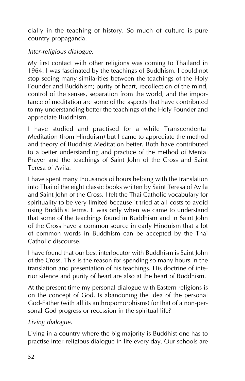cially in the teaching of history. So much of culture is pure country propaganda.

# *Inter-religious dialogue.*

My first contact with other religions was coming to Thailand in 1964. I was fascinated by the teachings of Buddhism. I could not stop seeing many similarities between the teachings of the Holy Founder and Buddhism; purity of heart, recollection of the mind, control of the senses, separation from the world, and the importance of meditation are some of the aspects that have contributed to my understanding better the teachings of the Holy Founder and appreciate Buddhism.

I have studied and practised for a while Transcendental Meditation (from Hinduism) but I came to appreciate the method and theory of Buddhist Meditation better. Both have contributed to a better understanding and practice of the method of Mental Prayer and the teachings of Saint John of the Cross and Saint Teresa of Avila.

I have spent many thousands of hours helping with the translation into Thai of the eight classic books written by Saint Teresa of Avila and Saint John of the Cross. I felt the Thai Catholic vocabulary for spirituality to be very limited because it tried at all costs to avoid using Buddhist terms. It was only when we came to understand that some of the teachings found in Buddhism and in Saint John of the Cross have a common source in early Hinduism that a lot of common words in Buddhism can be accepted by the Thai Catholic discourse.

I have found that our best interlocutor with Buddhism is Saint John of the Cross. This is the reason for spending so many hours in the translation and presentation of his teachings. His doctrine of interior silence and purity of heart are also at the heart of Buddhism.

At the present time my personal dialogue with Eastern religions is on the concept of God. Is abandoning the idea of the personal God-Father (with all its anthropomorphisms) for that of a non-personal God progress or recession in the spiritual life?

*Living dialogue.*

Living in a country where the big majority is Buddhist one has to practise inter-religious dialogue in life every day. Our schools are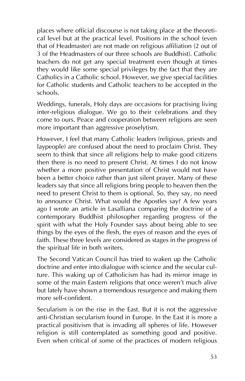places where official discourse is not taking place at the theoretical level but at the practical level. Positions in the school (even that of Headmaster) are not made on religious affiliation (2 out of 3 of the Headmasters of our three schools are Buddhist). Catholic teachers do not get any special treatment even though at times they would like some special privileges by the fact that they are Catholics in a Catholic school. However, we give special facilities for Catholic students and Catholic teachers to be accepted in the schools.

Weddings, funerals, Holy days are occasions for practising living inter-religious dialogue. We go to their celebrations and they come to ours. Peace and cooperation between religions are seen more important than aggressive proselytism.

However, I feel that many Catholic leaders (religious, priests and laypeople) are confused about the need to proclaim Christ. They seem to think that since all religions help to make good citizens then there is no need to present Christ. At times I do not know whether a more positive presentation of Christ would not have been a better choice rather than just silent prayer. Many of these leaders say that since all religions bring people to heaven then the need to present Christ to them is optional. So, they say, no need to announce Christ. What would the Apostles say? A few years ago I wrote an article in Lasalliana comparing the doctrine of a contemporary Buddhist philosopher regarding progress of the spirit with what the Holy Founder says about being able to see things by the eyes of the flesh, the eyes of reason and the eyes of faith. These three levels are considered as stages in the progress of the spiritual life in both writers.

The Second Vatican Council has tried to waken up the Catholic doctrine and enter into dialogue with science and the secular culture. This waking up of Catholicism has had its mirror image in some of the main Eastern religions that once weren't much alive but lately have shown a tremendous resurgence and making them more self-confident.

Secularism is on the rise in the East. But it is not the aggressive anti-Christian secularism found in Europe. In the East it is more a practical positivism that is invading all spheres of life. However religion is still contemplated as something good and positive. Even when critical of some of the practices of modern religious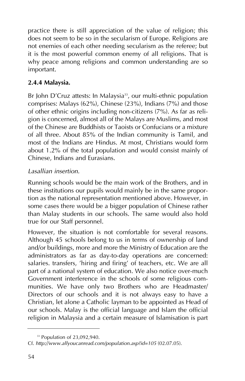practice there is still appreciation of the value of religion; this does not seem to be so in the secularism of Europe. Religions are not enemies of each other needing secularism as the referee; but it is the most powerful common enemy of all religions. That is why peace among religions and common understanding are so important.

## **2.4.4 Malaysia.**

Br John D'Cruz attests: In Malaysia<sup>33</sup>, our multi-ethnic population comprises: Malays (62%), Chinese (23%), Indians (7%) and those of other ethnic origins including non-citizens (7%). As far as religion is concerned, almost all of the Malays are Muslims, and most of the Chinese are Buddhists or Taoists or Confucians or a mixture of all three. About 85% of the Indian community is Tamil, and most of the Indians are Hindus. At most, Christians would form about 1.2% of the total population and would consist mainly of Chinese, Indians and Eurasians.

### *Lasallian insertion.*

Running schools would be the main work of the Brothers, and in these institutions our pupils would mainly be in the same proportion as the national representation mentioned above. However, in some cases there would be a bigger population of Chinese rather than Malay students in our schools. The same would also hold true for our Staff personnel.

However, the situation is not comfortable for several reasons. Although 45 schools belong to us in terms of ownership of land and/or buildings, more and more the Ministry of Education are the administrators as far as day-to-day operations are concerned: salaries. transfers, 'hiring and firing' of teachers, etc. We are all part of a national system of education. We also notice over-much Government interference in the schools of some religious communities. We have only two Brothers who are Headmaster/ Directors of our schools and it is not always easy to have a Christian, let alone a Catholic layman to be appointed as Head of our schools. Malay is the official language and Islam the official religion in Malaysia and a certain measure of Islamisation is part

<sup>33</sup> Population of 23,092,940.

Cf. *http://www.allyoucanread.com/population.asp?id=105* (02.07.05).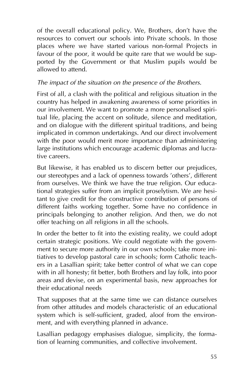of the overall educational policy. We, Brothers, don't have the resources to convert our schools into Private schools. In those places where we have started various non-formal Projects in favour of the poor, it would be quite rare that we would be supported by the Government or that Muslim pupils would be allowed to attend.

### *The impact of the situation on the presence of the Brothers.*

First of all, a clash with the political and religious situation in the country has helped in awakening awareness of some priorities in our involvement. We want to promote a more personalised spiritual life, placing the accent on solitude, silence and meditation, and on dialogue with the different spiritual traditions, and being implicated in common undertakings. And our direct involvement with the poor would merit more importance than administering large institutions which encourage academic diplomas and lucrative careers.

But likewise, it has enabled us to discern better our prejudices, our stereotypes and a lack of openness towards 'others', different from ourselves. We think we have the true religion. Our educational strategies suffer from an implicit proselytism. We are hesitant to give credit for the constructive contribution of persons of different faiths working together. Some have no confidence in principals belonging to another religion. And then, we do not offer teaching on all religions in all the schools.

In order the better to fit into the existing reality, we could adopt certain strategic positions. We could negotiate with the government to secure more authority in our own schools; take more initiatives to develop pastoral care in schools; form Catholic teachers in a Lasallian spirit; take better control of what we can cope with in all honesty; fit better, both Brothers and lay folk, into poor areas and devise, on an experimental basis, new approaches for their educational needs

That supposes that at the same time we can distance ourselves from other attitudes and models characteristic of an educational system which is self-sufficient, graded, aloof from the environment, and with everything planned in advance.

Lasallian pedagogy emphasises dialogue, simplicity, the formation of learning communities, and collective involvement.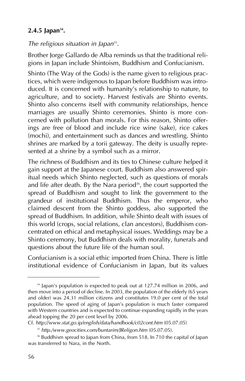## 2.4.5 Japan<sup>34</sup>.

#### *The religious situation in Japan*35.

Brother Jorge Gallardo de Alba reminds us that the traditional religions in Japan include Shintoism, Buddhism and Confucianism.

Shinto (The Way of the Gods) is the name given to religious practices, which were indigenous to Japan before Buddhism was introduced. It is concerned with humanity's relationship to nature, to agriculture, and to society. Harvest festivals are Shinto events. Shinto also concerns itself with community relationships, hence marriages are usually Shinto ceremonies. Shinto is more concerned with pollution than morals. For this reason, Shinto offerings are free of blood and include rice wine (sake), rice cakes (mochi), and entertainment such as dances and wrestling. Shinto shrines are marked by a torii gateway. The deity is usually represented at a shrine by a symbol such as a mirror.

The richness of Buddhism and its ties to Chinese culture helped it gain support at the Japanese court. Buddhism also answered spiritual needs which Shinto neglected, such as questions of morals and life after death. By the Nara period $36$ , the court supported the spread of Buddhism and sought to link the government to the grandeur of institutional Buddhism. Thus the emperor, who claimed descent from the Shinto goddess, also supported the spread of Buddhism. In addition, while Shinto dealt with issues of this world (crops, social relations, clan ancestors), Buddhism concentrated on ethical and metaphysical issues. Weddings may be a Shinto ceremony, but Buddhism deals with morality, funerals and questions about the future life of the human soul.

Confucianism is a social ethic imported from China. There is little institutional evidence of Confucianism in Japan, but its values

<sup>&</sup>lt;sup>34</sup> Japan's population is expected to peak out at 127.74 million in 2006, and then move into a period of decline. In 2003, the population of the elderly (65 years and older) was 24.31 million citizens and constitutes 19.0 per cent of the total population. The speed of aging of Japan's population is much faster compared with Western countries and is expected to continue expanding rapidly in the years ahead topping the 20 per cent level by 2006.

Cf. *http://www.stat.go.ip/english/data/handbook/c02cont.htm* (05.07.05)

<sup>35</sup> *http./www.geocities.com/buntarim/JReligon.htm* (05.07.05).

<sup>&</sup>lt;sup>36</sup> Buddhism spread to Japan from China, from 518. In 710 the capital of Japan was transferred to Nara, in the North.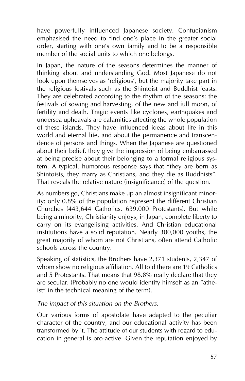have powerfully influenced Japanese society. Confucianism emphasised the need to find one's place in the greater social order, starting with one's own family and to be a responsible member of the social units to which one belongs.

In Japan, the nature of the seasons determines the manner of thinking about and understanding God. Most Japanese do not look upon themselves as 'religious', but the majority take part in the religious festivals such as the Shintoist and Buddhist feasts. They are celebrated according to the rhythm of the seasons: the festivals of sowing and harvesting, of the new and full moon, of fertility and death. Tragic events like cyclones, earthquakes and undersea upheavals are calamities affecting the whole population of these islands. They have influenced ideas about life in this world and eternal life, and about the permanence and transcendence of persons and things. When the Japanese are questioned about their belief, they give the impression of being embarrassed at being precise about their belonging to a formal religious system. A typical, humorous response says that "they are born as Shintoists, they marry as Christians, and they die as Buddhists". That reveals the relative nature (insignificance) of the question.

As numbers go, Christians make up an almost insignificant minority: only 0.8% of the population represent the different Christian Churches (443,644 Catholics, 639,000 Protestants). But while being a minority, Christianity enjoys, in Japan, complete liberty to carry on its evangelising activities. And Christian educational institutions have a solid reputation. Nearly 300,000 youths, the great majority of whom are not Christians, often attend Catholic schools across the country.

Speaking of statistics, the Brothers have 2,371 students, 2,347 of whom show no religious affiliation. All told there are 19 Catholics and 5 Protestants. That means that 98.8% really declare that they are secular. (Probably no one would identify himself as an "atheist" in the technical meaning of the term).

#### *The impact of this situation on the Brothers.*

Our various forms of apostolate have adapted to the peculiar character of the country, and our educational activity has been transformed by it. The attitude of our students with regard to education in general is pro-active. Given the reputation enjoyed by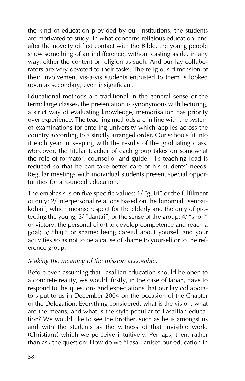the kind of education provided by our institutions, the students are motivated to study. In what concerns religious education, and after the novelty of first contact with the Bible, the young people show something of an indifference, without casting aside, in any way, either the content or religion as such. And our lay collaborators are very devoted to their tasks. The religious dimension of their involvement vis-à-vis students entrusted to them is looked upon as secondary, even insignificant.

Educational methods are traditional in the general sense or the term: large classes, the presentation is synonymous with lecturing, a strict way of evaluating knowledge, memorisation has priority over experience. The teaching methods are in line with the system of examinations for entering university which applies across the country according to a strictly arranged order. Our schools fit into it each year in keeping with the results of the graduating class. Moreover, the titular teacher of each group takes on somewhat the role of formator, counsellor and guide. His teaching load is reduced so that he can take better care of his students' needs. Regular meetings with individual students present special opportunities for a rounded education.

The emphasis is on five specific values: 1/ "guiri" or the fulfilment of duty; 2/ interpersonal relations based on the binomial "senpaikohai", which means: respect for the elderly and the duty of protecting the young; 3/ "dantai", or the sense of the group; 4/ "shori" or victory: the personal effort to develop competence and reach a goal; 5/ "haji" or shame: being careful about yourself and your activities so as not to be a cause of shame to yourself or to the reference group.

### *Making the meaning of the mission accessible.*

Before even assuming that Lasallian education should be open to a concrete reality, we would, firstly, in the case of Japan, have to respond to the questions and expectations that our lay collaborators put to us in December 2004 on the occasion of the Chapter of the Delegation. Everything considered, what is the vision, what are the means, and what is the style peculiar to Lasallian education? We would like to see the Brother, such as he is amongst us and with the students as the witness of that invisible world (Christian?) which we perceive intuitively. Perhaps, then, rather than ask the question: How do we "Lasallianise" our education in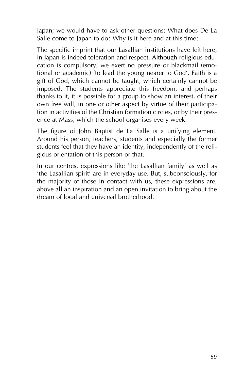Japan; we would have to ask other questions: What does De La Salle come to Japan to do? Why is it here and at this time?

The specific imprint that our Lasallian institutions have left here, in Japan is indeed toleration and respect. Although religious education is compulsory, we exert no pressure or blackmail (emotional or academic) 'to lead the young nearer to God'. Faith is a gift of God, which cannot be taught, which certainly cannot be imposed. The students appreciate this freedom, and perhaps thanks to it, it is possible for a group to show an interest, of their own free will, in one or other aspect by virtue of their participation in activities of the Christian formation circles, or by their presence at Mass, which the school organises every week.

The figure of John Baptist de La Salle is a unifying element. Around his person, teachers, students and especially the former students feel that they have an identity, independently of the religious orientation of this person or that.

In our centres, expressions like 'the Lasallian family' as well as 'the Lasallian spirit' are in everyday use. But, subconsciously, for the majority of those in contact with us, these expressions are, above all an inspiration and an open invitation to bring about the dream of local and universal brotherhood.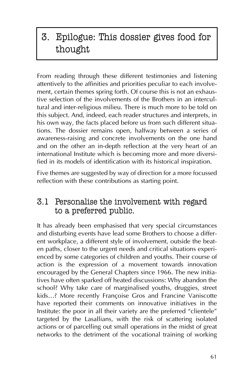# 3. Epilogue: This dossier gives food for thought

From reading through these different testimonies and listening attentively to the affinities and priorities peculiar to each involvement, certain themes spring forth. Of course this is not an exhaustive selection of the involvements of the Brothers in an intercultural and inter-religious milieu. There is much more to be told on this subject. And, indeed, each reader structures and interprets, in his own way, the facts placed before us from such different situations. The dossier remains open, halfway between a series of awareness-raising and concrete involvements on the one hand and on the other an in-depth reflection at the very heart of an international Institute which is becoming more and more diversified in its models of identification with its historical inspiration.

Five themes are suggested by way of direction for a more focussed reflection with these contributions as starting point.

# 3.1 Personalise the involvement with regard to a preferred public.

It has already been emphasised that very special circumstances and disturbing events have lead some Brothers to choose a different workplace, a different style of involvement, outside the beaten paths, closer to the urgent needs and critical situations experienced by some categories of children and youths. Their course of action is the expression of a movement towards innovation encouraged by the General Chapters since 1966. The new initiatives have often sparked off heated discussions: Why abandon the school? Why take care of marginalised youths, druggies, street kids…? More recently Françoise Gros and Francine Vaniscotte have reported their comments on innovative initiatives in the Institute: the poor in all their variety are the preferred "clientele" targeted by the Lasallians, with the risk of scattering isolated actions or of parcelling out small operations in the midst of great networks to the detriment of the vocational training of working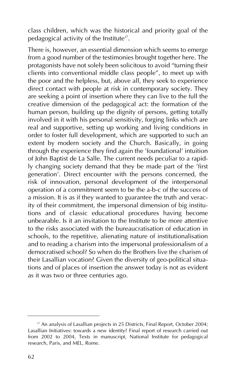class children, which was the historical and priority goal of the pedagogical activity of the Institute<sup>37</sup>.

There is, however, an essential dimension which seems to emerge from a good number of the testimonies brought together here. The protagonists have not solely been solicitous to avoid "turning their clients into conventional middle class people", to meet up with the poor and the helpless, but, above all, they seek to experience direct contact with people at risk in contemporary society. They are seeking a point of insertion where they can live to the full the creative dimension of the pedagogical act: the formation of the human person, building up the dignity of persons, getting totally involved in it with his personal sensitivity, forging links which are real and supportive, setting up working and living conditions in order to foster full development, which are supported to such an extent by modern society and the Church. Basically, in going through the experience they find again the 'foundational' intuition of John Baptist de La Salle. The current needs peculiar to a rapidly changing society demand that they be made part of the 'first generation'. Direct encounter with the persons concerned, the risk of innovation, personal development of the interpersonal operation of a commitment seem to be the a-b-c of the success of a mission. It is as if they wanted to guarantee the truth and veracity of their commitment, the impersonal dimension of big institutions and of classic educational procedures having become unbearable. Is it an invitation to the Institute to be more attentive to the risks associated with the bureaucratisation of education in schools, to the repetitive, alienating nature of institutionalisation and to reading a charism into the impersonal professionalism of a democratised school? So when do the Brothers live the charism of their Lasallian vocation? Given the diversity of geo-political situations and of places of insertion the answer today is not as evident as it was two or three centuries ago.

<sup>&</sup>lt;sup>37</sup> An analysis of Lasallian projects in 25 Districts, Final Report, October 2004; Lasallian Initiatives: towards a new identity? Final report of research carried out from 2002 to 2004, Texts in manuscript, National Institute for pedagogical research, Paris, and MEL, Rome.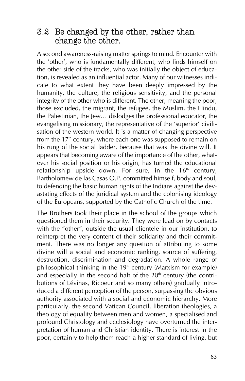# 3.2 Be changed by the other, rather than change the other.

A second awareness-raising matter springs to mind. Encounter with the 'other', who is fundamentally different, who finds himself on the other side of the tracks, who was initially the object of education, is revealed as an influential actor. Many of our witnesses indicate to what extent they have been deeply impressed by the humanity, the culture, the religious sensitivity, and the personal integrity of the other who is different. The other, meaning the poor, those excluded, the migrant, the refugee, the Muslim, the Hindu, the Palestinian, the Jew… dislodges the professional educator, the evangelising missionary, the representative of the 'superior' civilisation of the western world. It is a matter of changing perspective from the  $17<sup>th</sup>$  century, where each one was supposed to remain on his rung of the social ladder, because that was the divine will. It appears that becoming aware of the importance of the other, whatever his social position or his origin, has turned the educational relationship upside down. For sure, in the  $16<sup>th</sup>$  century, Bartholomew de las Casas O.P. committed himself, body and soul, to defending the basic human rights of the Indians against the devastating effects of the juridical system and the colonising ideology of the Europeans, supported by the Catholic Church of the time.

The Brothers took their place in the school of the groups which questioned them in their security. They were lead on by contacts with the "other", outside the usual clientele in our institution, to reinterpret the very content of their solidarity and their commitment. There was no longer any question of attributing to some divine will a social and economic ranking, source of suffering, destruction, discrimination and degradation. A whole range of philosophical thinking in the 19<sup>th</sup> century (Marxism for example) and especially in the second half of the  $20<sup>th</sup>$  century (the contributions of Lévinas, Ricoeur and so many others) gradually introduced a different perception of the person, surpassing the obvious authority associated with a social and economic hierarchy. More particularly, the second Vatican Council, liberation theologies, a theology of equality between men and women, a specialised and profound Christology and ecclesiology have overturned the interpretation of human and Christian identity. There is interest in the poor, certainly to help them reach a higher standard of living, but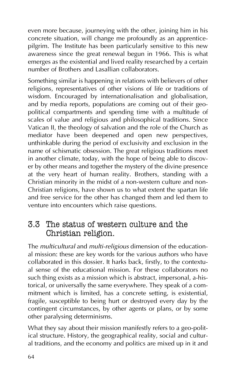even more because, journeying with the other, joining him in his concrete situation, will change me profoundly as an apprenticepilgrim. The Institute has been particularly sensitive to this new awareness since the great renewal begun in 1966. This is what emerges as the existential and lived reality researched by a certain number of Brothers and Lasallian collaborators.

Something similar is happening in relations with believers of other religions, representatives of other visions of life or traditions of wisdom. Encouraged by internationalisation and globalisation, and by media reports, populations are coming out of their geopolitical compartments and spending time with a multitude of scales of value and religious and philosophical traditions. Since Vatican II, the theology of salvation and the role of the Church as mediator have been deepened and open new perspectives, unthinkable during the period of exclusivity and exclusion in the name of schismatic obsession. The great religious traditions meet in another climate, today, with the hope of being able to discover by other means and together the mystery of the divine presence at the very heart of human reality. Brothers, standing with a Christian minority in the midst of a non-western culture and non-Christian religions, have shown us to what extent the spartan life and free service for the other has changed them and led them to venture into encounters which raise questions.

# 3.3 The status of western culture and the Christian religion.

The *multicultural* and *multi-religious* dimension of the educational mission: these are key words for the various authors who have collaborated in this dossier. It harks back, firstly, to the contextual sense of the educational mission. For these collaborators no such thing exists as a mission which is abstract, impersonal, a-historical, or universally the same everywhere. They speak of a commitment which is limited, has a concrete setting, is existential, fragile, susceptible to being hurt or destroyed every day by the contingent circumstances, by other agents or plans, or by some other paralysing determinisms.

What they say about their mission manifestly refers to a geo-political structure. History, the geographical reality, social and cultural traditions, and the economy and politics are mixed up in it and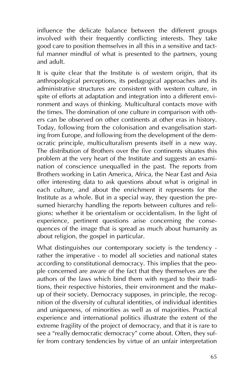influence the delicate balance between the different groups involved with their frequently conflicting interests. They take good care to position themselves in all this in a sensitive and tactful manner mindful of what is presented to the partners, young and adult.

It is quite clear that the Institute is of western origin, that its anthropological perceptions, its pedagogical approaches and its administrative structures are consistent with western culture, in spite of efforts at adaptation and integration into a different environment and ways of thinking. Multicultural contacts move with the times. The domination of one culture in comparison with others can be observed on other continents at other eras in history. Today, following from the colonisation and evangelisation starting from Europe, and following from the development of the democratic principle, multiculturalism presents itself in a new way. The distribution of Brothers over the five continents situates this problem at the very heart of the Institute and suggests an examination of conscience unequalled in the past. The reports from Brothers working in Latin America, Africa, the Near East and Asia offer interesting data to ask questions about what is original in each culture, and about the enrichment it represents for the Institute as a whole. But in a special way, they question the presumed hierarchy handling the reports between cultures and religions: whether it be orientalism or occidentalism. In the light of experience, pertinent questions arise concerning the consequences of the image that is spread as much about humanity as about religion, the gospel in particular.

What distinguishes our contemporary society is the tendency rather the imperative - to model all societies and national states according to constitutional democracy. This implies that the people concerned are aware of the fact that they themselves are the authors of the laws which bind them with regard to their traditions, their respective histories, their environment and the makeup of their society. Democracy supposes, in principle, the recognition of the diversity of cultural identities, of individual identities and uniqueness, of minorities as well as of majorities. Practical experience and international politics illustrate the extent of the extreme fragility of the project of democracy, and that it is rare to see a "really democratic democracy" come about. Often, they suffer from contrary tendencies by virtue of an unfair interpretation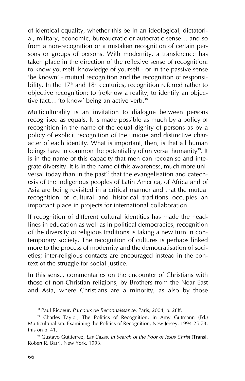of identical equality, whether this be in an ideological, dictatorial, military, economic, bureaucratic or autocratic sense… and so from a non-recognition or a mistaken recognition of certain persons or groups of persons. With modernity, a transference has taken place in the direction of the reflexive sense of recognition: to know yourself, knowledge of yourself - or in the passive sense 'be known' - mutual recognition and the recognition of responsibility. In the  $17<sup>th</sup>$  and  $18<sup>th</sup>$  centuries, recognition referred rather to objective recognition: to (re)know a reality, to identify an objective fact... 'to know' being an active verb. $38$ 

Multiculturality is an invitation to dialogue between persons recognised as equals. It is made possible as much by a policy of recognition in the name of the equal dignity of persons as by a policy of explicit recognition of the unique and distinctive character of each identity. What is important, then, is that all human beings have in common the potentiality of universal humanity<sup>39</sup>. It is in the name of this capacity that men can recognise and integrate diversity. It is in the name of this awareness, much more universal today than in the past<sup>40</sup> that the evangelisation and catechesis of the indigenous peoples of Latin America, of Africa and of Asia are being revisited in a critical manner and that the mutual recognition of cultural and historical traditions occupies an important place in projects for international collaboration.

If recognition of different cultural identities has made the headlines in education as well as in political democracies, recognition of the diversity of religious traditions is taking a new turn in contemporary society. The recognition of cultures is perhaps linked more to the process of modernity and the democratisation of societies; inter-religious contacts are encouraged instead in the context of the struggle for social justice.

In this sense, commentaries on the encounter of Christians with those of non-Christian religions, by Brothers from the Near East and Asia, where Christians are a minority, as also by those

<sup>38</sup> Paul Ricoeur, *Parcours de Reconnaissance*, Paris, 2004, p. 28ff.

<sup>&</sup>lt;sup>39</sup> Charles Taylor, The Politics of Recognition, in Amy Gutmann (Ed.) Multiculturalism. Examining the Politics of Recognition, New Jersey, 1994 25-73, this on p. 41.

<sup>40</sup> Gustavo Guttierrez, *Las Casas. In Search of the Poor of Jesus Christ* (Transl. Robert R. Barr), New York, 1993.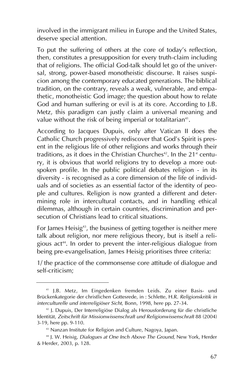involved in the immigrant milieu in Europe and the United States, deserve special attention.

To put the suffering of others at the core of today's reflection, then, constitutes a presupposition for every truth-claim including that of religions. The official God-talk should let go of the universal, strong, power-based monotheistic discourse. It raises suspicion among the contemporary educated generations. The biblical tradition, on the contrary, reveals a weak, vulnerable, and empathetic, monotheistic God image; the question about how to relate God and human suffering or evil is at its core. According to J.B. Metz, this paradigm can justly claim a universal meaning and value without the risk of being imperial or totalitarian<sup>41</sup>.

According to Jacques Dupuis, only after Vatican II does the Catholic Church progressively rediscover that God's Spirit is present in the religious life of other religions and works through their traditions, as it does in the Christian Churches<sup>42</sup>. In the  $21<sup>st</sup>$  century, it is obvious that world religions try to develop a more outspoken profile. In the public political debates religion - in its diversity - is recognised as a core dimension of the life of individuals and of societies as an essential factor of the identity of people and cultures. Religion is now granted a different and determining role in intercultural contacts, and in handling ethical dilemmas, although in certain countries, discrimination and persecution of Christians lead to critical situations.

For James Heisig<sup>43</sup>, the business of getting together is neither mere talk about religion, nor mere religious theory, but is itself a religious act<sup>44</sup>. In order to prevent the inter-religious dialogue from being pre-evangelisation, James Heisig prioritises three criteria:

1/ the practice of the commonsense core attitude of dialogue and self-criticism;

<sup>41</sup> J.B. Metz, Im Eingedenken fremden Leids. Zu einer Basis- und Brückenkategorie der christlichen Gottesrede, in : Schlette, H.R. *Religionskritik in interculturelle und interreligiöser Sicht*, Bonn, 1998, here pp. 27-34.

<sup>42</sup> J. Dupuis, Der Interreligiöse Dialog als Herousforderung für die christliche Identität, *Zeitschrift für Missionwissenschraft und Religionwissenschraft* 88 (2004) 3-19, here pp. 9-110.

<sup>43</sup> Nanzan Institute for Religion and Culture, Nagoya, Japan.

<sup>44</sup> J. W. Heisig, *Dialogues at One Inch Above The Ground*, New York, Herder & Herder, 2003, p. 128.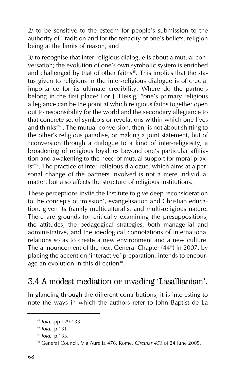2/ to be sensitive to the esteem for people's submission to the authority of Tradition and for the tenacity of one's beliefs, religion being at the limits of reason, and

3/ to recognise that inter-religious dialogue is about a mutual conversation; the evolution of one's own symbolic system is enriched and challenged by that of other faiths<sup>45</sup>. This implies that the status given to religions in the inter-religious dialogue is of crucial importance for its ultimate credibility. Where do the partners belong in the first place? For J. Heisig, "one's primary religious allegiance can be the point at which religious faiths together open out to responsibility for the world and the secondary allegiance to that concrete set of symbols or revelations within which one lives and thinks"46. The mutual conversion, then, is not about shifting to the other's religious paradise, or making a joint statement, but of "conversion through a dialogue to a kind of inter-religiosity, a broadening of religious loyalties beyond one's particular affiliation and awakening to the need of mutual support for moral praxis"<sup>47</sup>. The practice of inter-religious dialogue, which aims at a personal change of the partners involved is not a mere individual matter, but also affects the structure of religious institutions.

These perceptions invite the Institute to give deep reconsideration to the concepts of 'mission', evangelisation and Christian education, given its frankly multiculturalist and multi-religious nature. There are grounds for critically examining the presuppositions, the attitudes, the pedagogical strategies, both managerial and administrative, and the ideological connotations of international relations so as to create a new environment and a new culture. The announcement of the next General Chapter  $(44<sup>th</sup>)$  in 2007, by placing the accent on 'interactive' preparation, intends to encourage an evolution in this direction<sup>48</sup>.

# 3.4 A modest mediation or invading 'Lasallianism'.

In glancing through the different contributions, it is interesting to note the ways in which the authors refer to John Baptist de La

<sup>45</sup> *Ibid.*, pp.129-133.

<sup>46</sup> *Ibid.*, p.131.

<sup>47</sup> *Ibid.*, p.133.

<sup>48</sup> General Council, Via Aurelia 476, Rome, *Circular 453* of 24 June 2005.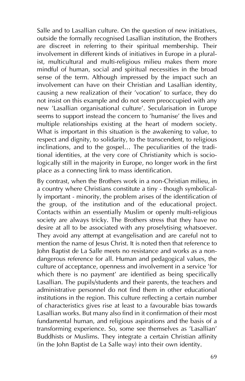Salle and to Lasallian culture. On the question of new initiatives, outside the formally recognised Lasallian institution, the Brothers are discreet in referring to their spiritual membership. Their involvement in different kinds of initiatives in Europe in a pluralist, multicultural and multi-religious milieu makes them more mindful of human, social and spiritual necessities in the broad sense of the term. Although impressed by the impact such an involvement can have on their Christian and Lasallian identity, causing a new realization of their 'vocation' to surface, they do not insist on this example and do not seem preoccupied with any new 'Lasallian organisational culture'. Secularisation in Europe seems to support instead the concern to 'humanise' the lives and multiple relationships existing at the heart of modern society. What is important in this situation is the awakening to value, to respect and dignity, to solidarity, to the transcendent, to religious inclinations, and to the gospel… The peculiarities of the traditional identities, at the very core of Christianity which is sociologically still in the majority in Europe, no longer work in the first place as a connecting link to mass identification.

By contrast, when the Brothers work in a non-Christian milieu, in a country where Christians constitute a tiny - though symbolically important - minority, the problem arises of the identification of the group, of the institution and of the educational project. Contacts within an essentially Muslim or openly multi-religious society are always tricky. The Brothers stress that they have no desire at all to be associated with any proselytising whatsoever. They avoid any attempt at evangelisation and are careful not to mention the name of Jesus Christ. It is noted then that reference to John Baptist de La Salle meets no resistance and works as a nondangerous reference for all. Human and pedagogical values, the culture of acceptance, openness and involvement in a service 'for which there is no payment' are identified as being specifically Lasallian. The pupils/students and their parents, the teachers and administrative personnel do not find them in other educational institutions in the region. This culture reflecting a certain number of characteristics gives rise at least to a favourable bias towards Lasallian works. But many also find in it confirmation of their most fundamental human, and religious aspirations and the basis of a transforming experience. So, some see themselves as 'Lasallian' Buddhists or Muslims. They integrate a certain Christian affinity (in the John Baptist de La Salle way) into their own identity.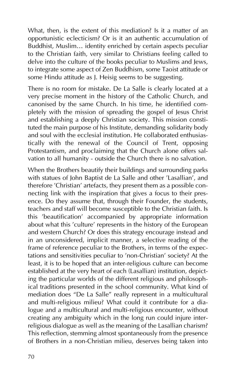What, then, is the extent of this mediation? Is it a matter of an opportunistic eclecticism? Or is it an authentic accumulation of Buddhist, Muslim… identity enriched by certain aspects peculiar to the Christian faith, very similar to Christians feeling called to delve into the culture of the books peculiar to Muslims and Jews, to integrate some aspect of Zen Buddhism, some Taoist attitude or some Hindu attitude as J. Heisig seems to be suggesting.

There is no room for mistake. De La Salle is clearly located at a very precise moment in the history of the Catholic Church, and canonised by the same Church. In his time, he identified completely with the mission of spreading the gospel of Jesus Christ and establishing a deeply Christian society. This mission constituted the main purpose of his Institute, demanding solidarity body and soul with the ecclesial institution. He collaborated enthusiastically with the renewal of the Council of Trent, opposing Protestantism, and proclaiming that the Church alone offers salvation to all humanity - outside the Church there is no salvation.

When the Brothers beautify their buildings and surrounding parks with statues of John Baptist de La Salle and other 'Lasallian', and therefore 'Christian' artefacts, they present them as a possible connecting link with the inspiration that gives a focus to their presence. Do they assume that, through their Founder, the students, teachers and staff will become susceptible to the Christian faith. Is this 'beautification' accompanied by appropriate information about what this 'culture' represents in the history of the European and western Church? Or does this strategy encourage instead and in an unconsidered, implicit manner, a selective reading of the frame of reference peculiar to the Brothers, in terms of the expectations and sensitivities peculiar to 'non-Christian' society? At the least, it is to be hoped that an inter-religious culture can become established at the very heart of each (Lasallian) institution, depicting the particular worlds of the different religious and philosophical traditions presented in the school community. What kind of mediation does "De La Salle" really represent in a multicultural and multi-religious milieu? What could it contribute for a dialogue and a multicultural and multi-religious encounter, without creating any ambiguity which in the long run could injure interreligious dialogue as well as the meaning of the Lasallian charism? This reflection, stemming almost spontaneously from the presence of Brothers in a non-Christian milieu, deserves being taken into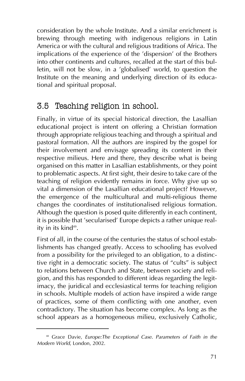consideration by the whole Institute. And a similar enrichment is brewing through meeting with indigenous religions in Latin America or with the cultural and religious traditions of Africa. The implications of the experience of the 'dispersion' of the Brothers into other continents and cultures, recalled at the start of this bulletin, will not be slow, in a 'globalised' world, to question the Institute on the meaning and underlying direction of its educational and spiritual proposal.

# 3.5 Teaching religion in school.

Finally, in virtue of its special historical direction, the Lasallian educational project is intent on offering a Christian formation through appropriate religious teaching and through a spiritual and pastoral formation. All the authors are inspired by the gospel for their involvement and envisage spreading its content in their respective milieus. Here and there, they describe what is being organised on this matter in Lasallian establishments, or they point to problematic aspects. At first sight, their desire to take care of the teaching of religion evidently remains in force. Why give up so vital a dimension of the Lasallian educational project? However, the emergence of the multicultural and multi-religious theme changes the coordinates of institutionalised religious formation. Although the question is posed quite differently in each continent, it is possible that 'secularised' Europe depicts a rather unique reality in its kind<sup>49</sup>.

First of all, in the course of the centuries the status of school establishments has changed greatly. Access to schooling has evolved from a possibility for the privileged to an obligation, to a distinctive right in a democratic society. The status of "cults" is subject to relations between Church and State, between society and religion, and this has responded to different ideas regarding the legitimacy, the juridical and ecclesiastical terms for teaching religion in schools. Multiple models of action have inspired a wide range of practices, some of them conflicting with one another, even contradictory. The situation has become complex. As long as the school appears as a homogeneous milieu, exclusively Catholic,

<sup>48</sup> Grace Davie, *Europe:The Exceptional Case. Parameters of Faith in the Modern World*, London, 2002.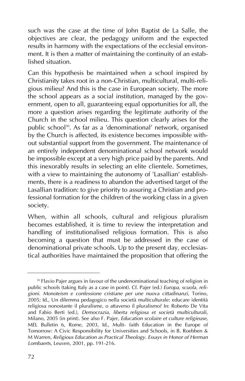such was the case at the time of John Baptist de La Salle, the objectives are clear, the pedagogy uniform and the expected results in harmony with the expectations of the ecclesial environment. It is then a matter of maintaining the continuity of an established situation.

Can this hypothesis be maintained when a school inspired by Christianity takes root in a non-Christian, multicultural, multi-religious milieu? And this is the case in European society. The more the school appears as a social institution, managed by the government, open to all, guaranteeing equal opportunities for all, the more a question arises regarding the legitimate authority of the Church in the school milieu. This question clearly arises for the public school<sup>50</sup>. As far as a 'denominational' network, organised by the Church is affected, its existence becomes impossible without substantial support from the government. The maintenance of an entirely independent denominational school network would be impossible except at a very high price paid by the parents. And this inexorably results in selecting an elite clientele. Sometimes, with a view to maintaining the autonomy of 'Lasallian' establishments, there is a readiness to abandon the advertised target of the Lasallian tradition: to give priority to assuring a Christian and professional formation for the children of the working class in a given society.

When, within all schools, cultural and religious pluralism becomes established, it is time to review the interpretation and handling of institutionalised religious formation. This is also becoming a question that must be addressed in the case of denominational private schools. Up to the present day, ecclesiastical authorities have maintained the proposition that offering the

<sup>&</sup>lt;sup>50</sup> Flavio Pajer argues in favour of the undenominational teaching of religion in public schools (taking Italy as a case in point). Cf. Pajer (ed.) *Europa, scuola, religioni. Monoteism e confessione cristiane per une nuova cittadinanzi*, Torino, 2005; Id., Un dilemma pedagogico nella società multiculturale: educare identità religiosa nonostante il pluralisme, o attaverso il pluralismo? In: Roberto De Vita and Fabio Berti (ed.), *Democrazia, liberta religiosa et società multiculturali*, Milano, 2005 (in print). See also F. Pajer, *Education scolaire et culture religieuse*, MEL Bulletin 6, Rome, 2003, Id., Multi- faith Education in the Europe of Tomorrow: A Civic Responsibility for Universities and Schools, in B. Roebben & M Warren, *Religious Education as Practical Theology. Essays in Honor of Herman Lombaerts*, Leuven, 2001, pp. 191-216.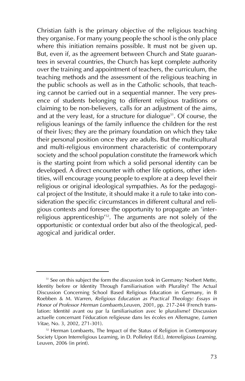Christian faith is the primary objective of the religious teaching they organise. For many young people the school is the only place where this initiation remains possible. It must not be given up. But, even if, as the agreement between Church and State guarantees in several countries, the Church has kept complete authority over the training and appointment of teachers, the curriculum, the teaching methods and the assessment of the religious teaching in the public schools as well as in the Catholic schools, that teaching cannot be carried out in a sequential manner. The very presence of students belonging to different religious traditions or claiming to be non-believers, calls for an adjustment of the aims, and at the very least, for a structure for dialogue<sup>51</sup>. Of course, the religious leanings of the family influence the children for the rest of their lives; they are the primary foundation on which they take their personal position once they are adults. But the multicultural and multi-religious environment characteristic of contemporary society and the school population constitute the framework which is the starting point from which a solid personal identity can be developed. A direct encounter with other life options, other identities, will encourage young people to explore at a deep level their religious or original ideological sympathies. As for the pedagogical project of the Institute, it should make it a rule to take into consideration the specific circumstances in different cultural and religious contexts and foresee the opportunity to propagate an 'interreligious apprenticeship<sup>'52</sup>. The arguments are not solely of the opportunistic or contextual order but also of the theological, pedagogical and juridical order.

<sup>&</sup>lt;sup>51</sup> See on this subject the form the discussion took in Germany: Norbert Mette, Identity before or Identity Through Familiarisation with Plurality? The Actual Discussion Concerning School Based Religious Education in Germany, in B Roebben & M. Warren, *Religious Education as Practical Theology: Essays in Honor of Professor Herman Lombaerts*,Leuven, 2001, pp. 217-244 (French translation: Identité avant ou par la familiarisation avec le pluralisme? Discussion actuelle concernant l'éducation religieuse dans les écoles en Allemagne, *Lumen Vitae*, No. 3, 2002, 271-301).

<sup>&</sup>lt;sup>52</sup> Herman Lombaerts, The Impact of the Status of Religion in Contemporary Society Upon Interreligious Learning, in D. Pollefeyt (Ed.), *Interreligious Learning*, Leuven, 2006 (in print).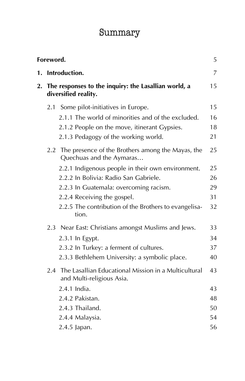# Summary

| Foreword.<br>5 |                                                                              |                                                                                       |    |  |  |
|----------------|------------------------------------------------------------------------------|---------------------------------------------------------------------------------------|----|--|--|
| 1.             |                                                                              | Introduction.                                                                         | 7  |  |  |
| 2.             | The responses to the inquiry: the Lasallian world, a<br>diversified reality. |                                                                                       |    |  |  |
|                | 2.1                                                                          | Some pilot-initiatives in Europe.                                                     | 15 |  |  |
|                |                                                                              | 2.1.1 The world of minorities and of the excluded.                                    | 16 |  |  |
|                |                                                                              | 2.1.2 People on the move, itinerant Gypsies.                                          | 18 |  |  |
|                |                                                                              | 2.1.3 Pedagogy of the working world.                                                  | 21 |  |  |
|                |                                                                              | 2.2 The presence of the Brothers among the Mayas, the<br>Quechuas and the Aymaras     | 25 |  |  |
|                |                                                                              | 2.2.1 Indigenous people in their own environment.                                     | 25 |  |  |
|                |                                                                              | 2.2.2 In Bolivia: Radio San Gabriele.                                                 | 26 |  |  |
|                |                                                                              | 2.2.3 In Guatemala: overcoming racism.                                                | 29 |  |  |
|                |                                                                              | 2.2.4 Receiving the gospel.                                                           | 31 |  |  |
|                |                                                                              | 2.2.5 The contribution of the Brothers to evangelisa-<br>tion.                        | 32 |  |  |
|                |                                                                              | 2.3 Near East: Christians amongst Muslims and Jews.                                   | 33 |  |  |
|                |                                                                              | 2.3.1 In Egypt.                                                                       | 34 |  |  |
|                |                                                                              | 2.3.2 In Turkey: a ferment of cultures.                                               | 37 |  |  |
|                |                                                                              | 2.3.3 Bethlehem University: a symbolic place.                                         | 40 |  |  |
|                |                                                                              | 2.4 The Lasallian Educational Mission in a Multicultural<br>and Multi-religious Asia. | 43 |  |  |
|                |                                                                              | 2.4.1 India.                                                                          | 43 |  |  |
|                |                                                                              | 2.4.2 Pakistan.                                                                       | 48 |  |  |
|                |                                                                              | 2.4.3 Thailand.                                                                       | 50 |  |  |
|                |                                                                              | 2.4.4 Malaysia.                                                                       | 54 |  |  |
|                |                                                                              | 2.4.5 Japan.                                                                          | 56 |  |  |